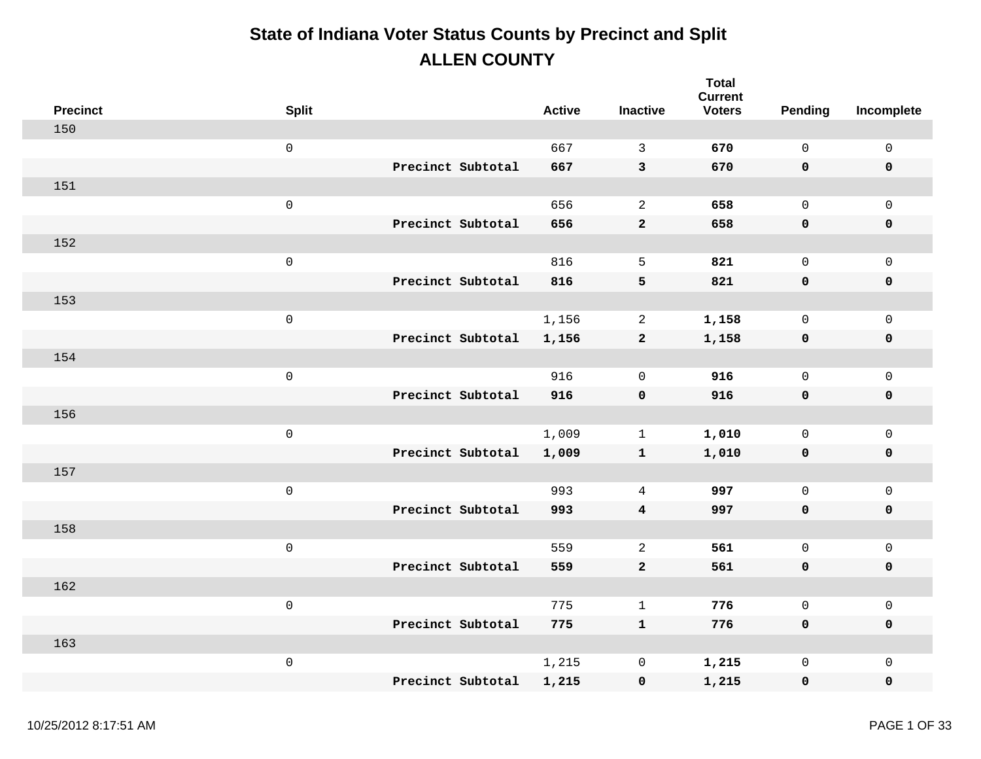| <b>Precinct</b> | <b>Split</b>        |                   | <b>Active</b> | <b>Inactive</b> | <b>Total</b><br><b>Current</b><br><b>Voters</b> | Pending      | Incomplete          |
|-----------------|---------------------|-------------------|---------------|-----------------|-------------------------------------------------|--------------|---------------------|
| 150             |                     |                   |               |                 |                                                 |              |                     |
|                 | $\mathsf{O}\xspace$ |                   | 667           | $\mathbf{3}$    | 670                                             | $\mathbf 0$  | $\mathsf{O}\xspace$ |
|                 |                     | Precinct Subtotal | 667           | $\mathbf{3}$    | 670                                             | 0            | $\pmb{0}$           |
| 151             |                     |                   |               |                 |                                                 |              |                     |
|                 | $\mathsf{O}\xspace$ |                   | 656           | $\overline{a}$  | 658                                             | $\mathsf{O}$ | $\mathbf 0$         |
|                 |                     | Precinct Subtotal | 656           | $\mathbf{2}$    | 658                                             | 0            | $\pmb{0}$           |
| 152             |                     |                   |               |                 |                                                 |              |                     |
|                 | $\mathbf 0$         |                   | 816           | 5               | 821                                             | $\mathbf 0$  | $\mathbf 0$         |
|                 |                     | Precinct Subtotal | 816           | 5               | 821                                             | 0            | $\pmb{0}$           |
| 153             |                     |                   |               |                 |                                                 |              |                     |
|                 | $\mathsf 0$         |                   | 1,156         | $\overline{a}$  | 1,158                                           | $\mathsf{O}$ | $\mathbf 0$         |
|                 |                     | Precinct Subtotal | 1,156         | $\mathbf{2}$    | 1,158                                           | 0            | $\pmb{0}$           |
| 154             |                     |                   |               |                 |                                                 |              |                     |
|                 | $\mathsf 0$         |                   | 916           | $\Omega$        | 916                                             | $\mathsf{O}$ | $\mathsf{O}\xspace$ |
|                 |                     | Precinct Subtotal | 916           | $\mathbf 0$     | 916                                             | 0            | $\pmb{0}$           |
| 156             |                     |                   |               |                 |                                                 |              |                     |
|                 | $\mathsf{O}\xspace$ |                   | 1,009         | $\mathbf 1$     | 1,010                                           | $\mathsf{O}$ | $\mathsf{O}$        |
|                 |                     | Precinct Subtotal | 1,009         | ${\bf 1}$       | 1,010                                           | 0            | $\pmb{0}$           |
| 157             |                     |                   |               |                 |                                                 |              |                     |
|                 | $\mathsf 0$         |                   | 993           | $\overline{4}$  | 997                                             | $\mathsf{O}$ | $\mathsf{O}\xspace$ |
|                 |                     | Precinct Subtotal | 993           | 4               | 997                                             | 0            | $\mathbf 0$         |
| 158             |                     |                   |               |                 |                                                 |              |                     |
|                 | $\,0\,$             |                   | 559           | $\overline{a}$  | 561                                             | $\mathsf{O}$ | $\mathsf{O}\xspace$ |
|                 |                     | Precinct Subtotal | 559           | $\mathbf{2}$    | 561                                             | 0            | $\pmb{0}$           |
| 162             |                     |                   |               |                 |                                                 |              |                     |
|                 | $\mathsf{O}\xspace$ |                   | 775           | $\mathbf{1}$    | 776                                             | $\mathsf{O}$ | $\mathsf{O}\xspace$ |
|                 |                     | Precinct Subtotal | 775           | $\mathbf{1}$    | 776                                             | 0            | $\mathbf 0$         |
| 163             |                     |                   |               |                 |                                                 |              |                     |
|                 | $\,0\,$             |                   | 1,215         | $\mathsf{O}$    | 1,215                                           | $\mathsf 0$  | $\mathsf{O}\xspace$ |
|                 |                     | Precinct Subtotal | 1,215         | $\pmb{0}$       | 1,215                                           | 0            | $\mathbf 0$         |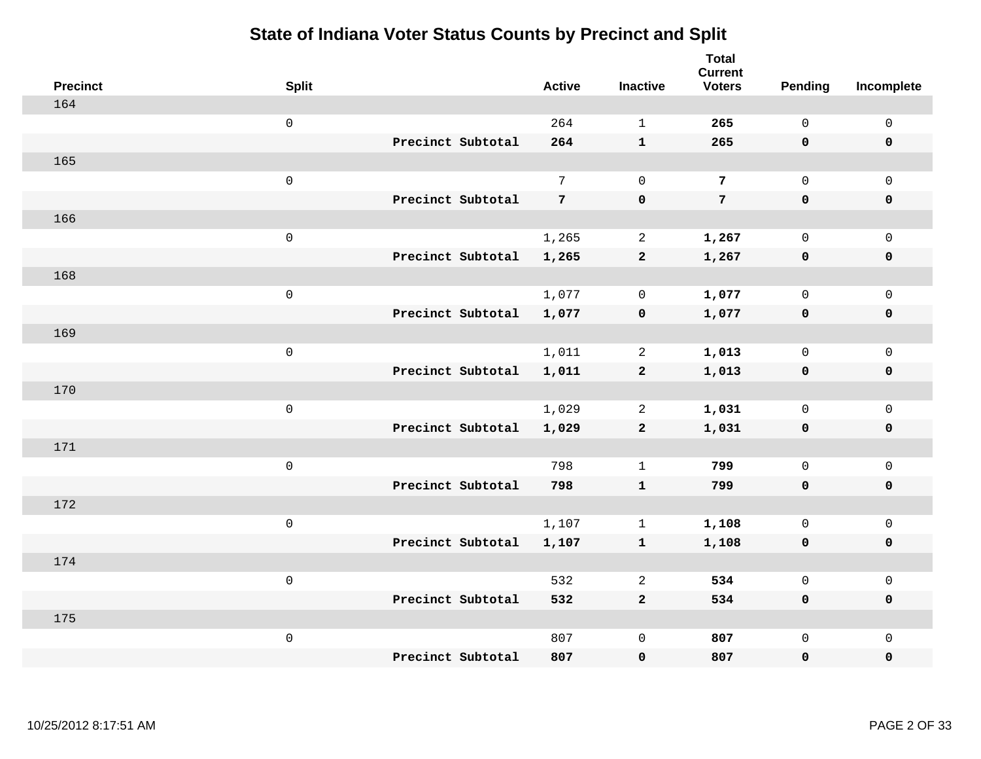| <b>Precinct</b> | <b>Split</b>        |                   | <b>Active</b>  | <b>Inactive</b> | <b>Total</b><br><b>Current</b><br><b>Voters</b> | Pending             | Incomplete          |
|-----------------|---------------------|-------------------|----------------|-----------------|-------------------------------------------------|---------------------|---------------------|
| 164             |                     |                   |                |                 |                                                 |                     |                     |
|                 | $\mathsf{O}\xspace$ |                   | 264            | $\mathbf{1}$    | 265                                             | $\mathsf{O}$        | $\mathsf 0$         |
|                 |                     | Precinct Subtotal | 264            | ${\bf 1}$       | 265                                             | $\mathbf 0$         | $\pmb{0}$           |
| 165             |                     |                   |                |                 |                                                 |                     |                     |
|                 | $\mathsf{O}\xspace$ |                   | $7\phantom{.}$ | $\mathbf 0$     | $7\phantom{.}$                                  | $\mathsf{O}\xspace$ | $\mathsf{O}$        |
|                 |                     | Precinct Subtotal | 7 <sup>7</sup> | $\pmb{0}$       | $7\phantom{.}$                                  | $\mathbf 0$         | $\pmb{0}$           |
| 166             |                     |                   |                |                 |                                                 |                     |                     |
|                 | $\mathsf 0$         |                   | 1,265          | $\overline{a}$  | 1,267                                           | $\mathbf 0$         | $\mathsf{O}$        |
|                 |                     | Precinct Subtotal | 1,265          | $\overline{a}$  | 1,267                                           | 0                   | 0                   |
| 168             |                     |                   |                |                 |                                                 |                     |                     |
|                 | $\mathsf{O}\xspace$ |                   | 1,077          | $\mathbf 0$     | 1,077                                           | $\mathbf 0$         | $\mathsf{O}\xspace$ |
|                 |                     | Precinct Subtotal | 1,077          | $\pmb{0}$       | 1,077                                           | $\mathbf 0$         | $\pmb{0}$           |
| 169             |                     |                   |                |                 |                                                 |                     |                     |
|                 | $\mathsf 0$         |                   | 1,011          | 2               | 1,013                                           | $\mathbf 0$         | $\mathsf 0$         |
|                 |                     | Precinct Subtotal | 1,011          | $\mathbf{2}$    | 1,013                                           | 0                   | $\mathbf 0$         |
| 170             |                     |                   |                |                 |                                                 |                     |                     |
|                 | $\mathsf{O}\xspace$ |                   | 1,029          | $\overline{2}$  | 1,031                                           | $\mathbf 0$         | $\mathsf{O}\xspace$ |
|                 |                     | Precinct Subtotal | 1,029          | $\mathbf{2}$    | 1,031                                           | 0                   | 0                   |
| 171             |                     |                   |                |                 |                                                 |                     |                     |
|                 | $\mathsf 0$         |                   | 798            | $\mathbf{1}$    | 799                                             | $\mathbf 0$         | $\mathsf{O}$        |
|                 |                     | Precinct Subtotal | 798            | $\mathbf{1}$    | 799                                             | 0                   | 0                   |
| 172             |                     |                   |                |                 |                                                 |                     |                     |
|                 | $\mathsf{O}\xspace$ |                   | 1,107          | $\mathbf 1$     | 1,108                                           | $\mathsf{O}$        | $\mathsf{O}$        |
|                 |                     | Precinct Subtotal | 1,107          | $\mathbf{1}$    | 1,108                                           | 0                   | 0                   |
| 174             |                     |                   |                |                 |                                                 |                     |                     |
|                 | $\mathsf{O}\xspace$ |                   | 532            | 2               | 534                                             | $\mathsf{O}$        | $\mathsf{O}\xspace$ |
|                 |                     | Precinct Subtotal | 532            | $\overline{a}$  | 534                                             | 0                   | 0                   |
| 175             |                     |                   |                |                 |                                                 |                     |                     |
|                 | $\mathsf{O}\xspace$ |                   | 807            | $\mathsf 0$     | 807                                             | $\mathsf{O}$        | $\mathsf{O}$        |
|                 |                     | Precinct Subtotal | 807            | 0               | 807                                             | 0                   | 0                   |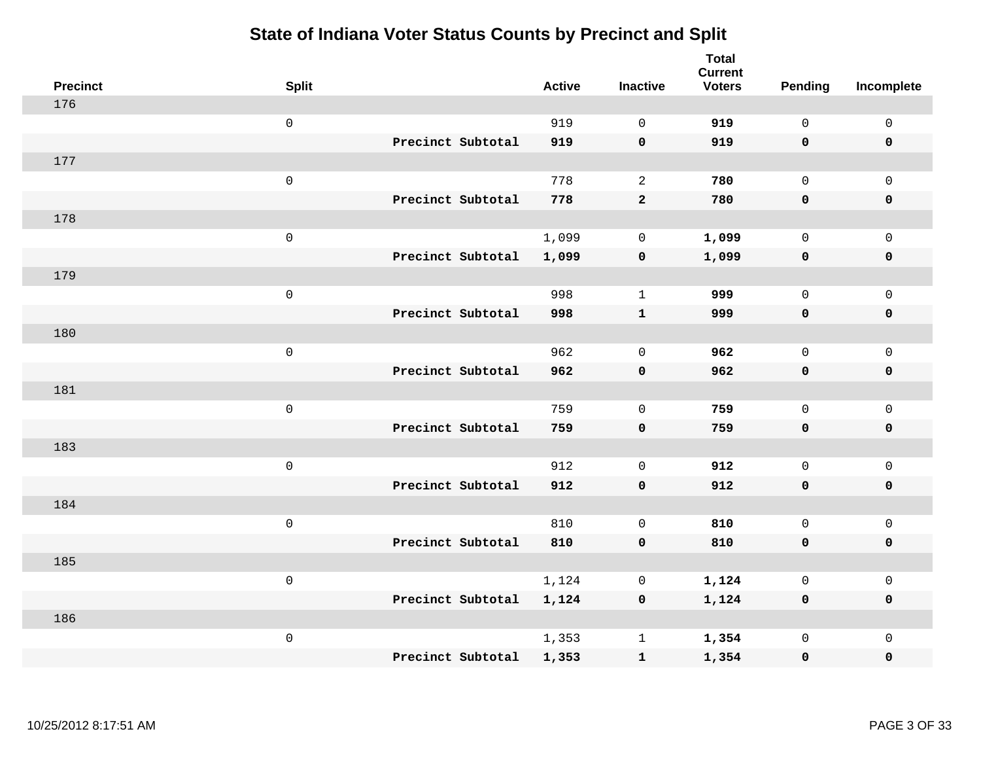| <b>Precinct</b> | <b>Split</b>        | <b>Active</b> | <b>Inactive</b>    | <b>Total</b><br><b>Current</b><br><b>Voters</b> | <b>Pending</b> | Incomplete          |
|-----------------|---------------------|---------------|--------------------|-------------------------------------------------|----------------|---------------------|
| 176             |                     |               |                    |                                                 |                |                     |
|                 | $\mathsf{O}\xspace$ | 919           | $\Omega$           | 919                                             | $\mathbf 0$    | $\mathsf 0$         |
|                 | Precinct Subtotal   | 919           | $\mathbf 0$        | 919                                             | $\mathbf 0$    | $\mathbf 0$         |
| 177             |                     |               |                    |                                                 |                |                     |
|                 | $\mathsf 0$         | 778           | $\overline{a}$     | 780                                             | $\mathsf{O}$   | $\mathbf 0$         |
|                 | Precinct Subtotal   | 778           | $\mathbf{2}$       | 780                                             | $\mathbf 0$    | $\mathbf 0$         |
| 178             |                     |               |                    |                                                 |                |                     |
|                 | $\mathsf 0$         | 1,099         | $\mathbf 0$        | 1,099                                           | $\mathbf 0$    | $\mathsf 0$         |
|                 | Precinct Subtotal   | 1,099         | $\mathbf 0$        | 1,099                                           | $\mathbf 0$    | $\mathbf 0$         |
| 179             |                     |               |                    |                                                 |                |                     |
|                 | $\mathsf 0$         | 998           | $\mathbf{1}$       | 999                                             | $\mathsf{O}$   | $\mathsf 0$         |
|                 | Precinct Subtotal   | 998           | $\mathbf 1$        | 999                                             | $\mathbf 0$    | $\mathbf 0$         |
| 180             |                     |               |                    |                                                 |                |                     |
|                 | $\mathsf 0$         | 962           | $\mathbf 0$        | 962                                             | $\mathbf 0$    | $\mathbf 0$         |
|                 | Precinct Subtotal   | 962           | $\mathbf 0$        | 962                                             | $\mathbf 0$    | $\mathbf 0$         |
| 181             |                     |               |                    |                                                 |                |                     |
|                 | $\mathsf 0$         | 759           | $\mathbf 0$        | 759                                             | $\mathsf{O}$   | $\mathsf{O}\xspace$ |
|                 | Precinct Subtotal   | 759           | $\mathbf 0$        | 759                                             | $\mathbf 0$    | $\mathbf 0$         |
| 183             |                     |               |                    |                                                 |                |                     |
|                 | $\mathsf 0$         | 912           | $\mathbf 0$        | 912                                             | $\mathbf 0$    | $\mathsf{O}\xspace$ |
|                 | Precinct Subtotal   | 912           | $\mathbf 0$        | 912                                             | 0              | $\mathbf 0$         |
| 184             |                     |               |                    |                                                 |                |                     |
|                 | $\mathsf 0$         | 810           | $\mathbf 0$        | 810                                             | $\mathbf 0$    | $\mathsf{O}\xspace$ |
|                 | Precinct Subtotal   | 810           | $\pmb{\mathsf{O}}$ | 810                                             | $\mathbf 0$    | $\mathbf 0$         |
| 185             |                     |               |                    |                                                 |                |                     |
|                 | $\mathbf 0$         | 1,124         | 0                  | 1,124                                           | 0              | $\mathsf 0$         |
|                 | Precinct Subtotal   | 1,124         | $\mathbf 0$        | 1,124                                           | $\mathbf 0$    | $\mathbf 0$         |
| 186             |                     |               |                    |                                                 |                |                     |
|                 | $\mathsf 0$         | 1,353         | $\mathbf{1}$       | 1,354                                           | $\mathsf{O}$   | $\mathbf 0$         |
|                 | Precinct Subtotal   | 1,353         | $\mathbf{1}$       | 1,354                                           | 0              | $\pmb{0}$           |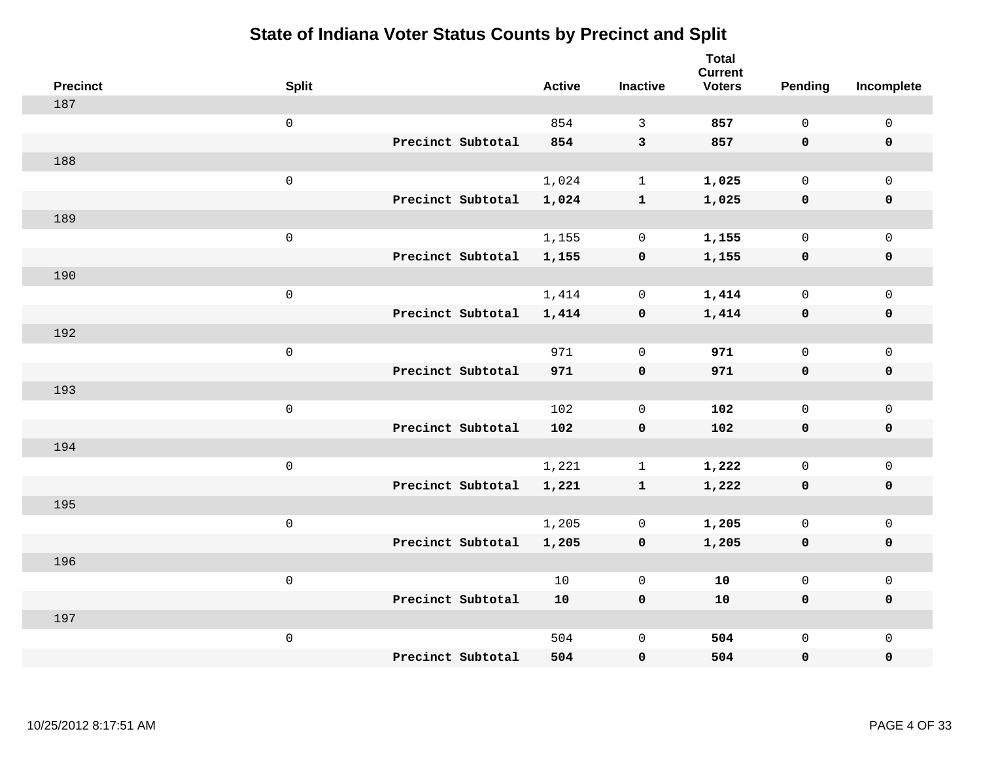| <b>Precinct</b> | <b>Split</b>        |                   | <b>Active</b> | <b>Inactive</b> | <b>Total</b><br><b>Current</b><br><b>Voters</b> | <b>Pending</b> | Incomplete          |
|-----------------|---------------------|-------------------|---------------|-----------------|-------------------------------------------------|----------------|---------------------|
| 187             |                     |                   |               |                 |                                                 |                |                     |
|                 | $\mathsf{O}$        |                   | 854           | 3               | 857                                             | $\mathbf 0$    | $\mathsf{O}\xspace$ |
|                 |                     | Precinct Subtotal | 854           | $\mathbf{3}$    | 857                                             | $\mathbf 0$    | $\mathbf 0$         |
| 188             |                     |                   |               |                 |                                                 |                |                     |
|                 | $\mathsf{O}$        |                   | 1,024         | $\mathbf{1}$    | 1,025                                           | $\mathbf 0$    | $\mathsf{O}$        |
|                 |                     | Precinct Subtotal | 1,024         | $\mathbf{1}$    | 1,025                                           | $\mathbf 0$    | 0                   |
| 189             |                     |                   |               |                 |                                                 |                |                     |
|                 | $\mathsf{O}\xspace$ |                   | 1,155         | $\mathbf 0$     | 1,155                                           | $\mathbf 0$    | $\mathsf{O}\xspace$ |
|                 |                     | Precinct Subtotal | 1,155         | $\mathbf 0$     | 1,155                                           | $\mathbf 0$    | $\pmb{0}$           |
| 190             |                     |                   |               |                 |                                                 |                |                     |
|                 | $\mathsf{O}\xspace$ |                   | 1,414         | $\mathsf{O}$    | 1,414                                           | $\mathbf 0$    | $\mathsf{O}\xspace$ |
|                 |                     | Precinct Subtotal | 1,414         | $\mathbf 0$     | 1,414                                           | $\mathbf 0$    | 0                   |
| 192             |                     |                   |               |                 |                                                 |                |                     |
|                 | $\mathbf 0$         |                   | 971           | $\mathbf 0$     | 971                                             | $\mathbf 0$    | $\mathsf{O}\xspace$ |
|                 |                     | Precinct Subtotal | 971           | $\mathbf 0$     | 971                                             | $\mathbf 0$    | 0                   |
| 193             |                     |                   |               |                 |                                                 |                |                     |
|                 | $\mathsf{O}\xspace$ |                   | 102           | $\mathbf 0$     | 102                                             | $\mathsf{O}$   | $\mathsf{O}\xspace$ |
|                 |                     | Precinct Subtotal | 102           | $\mathbf 0$     | 102                                             | $\mathbf 0$    | 0                   |
| 194             |                     |                   |               |                 |                                                 |                |                     |
|                 | $\mathbf 0$         |                   | 1,221         | $\mathbf{1}$    | 1,222                                           | $\mathbf 0$    | $\mathsf{O}$        |
|                 |                     | Precinct Subtotal | 1,221         | $\mathbf{1}$    | 1,222                                           | 0              | 0                   |
| 195             |                     |                   |               |                 |                                                 |                |                     |
|                 | $\mathbf 0$         |                   | 1,205         | $\mathbf 0$     | 1,205                                           | $\mathsf{O}$   | $\mathsf{O}\xspace$ |
|                 |                     | Precinct Subtotal | 1,205         | $\mathbf 0$     | 1,205                                           | 0              | 0                   |
| 196             |                     |                   |               |                 |                                                 |                |                     |
|                 | $\mathbf 0$         |                   | 10            | $\overline{0}$  | 10                                              | $\mathbf{0}$   | $\mathsf{O}$        |
|                 |                     | Precinct Subtotal | 10            | $\pmb{0}$       | 10                                              | 0              | 0                   |
| 197             |                     |                   |               |                 |                                                 |                |                     |
|                 | $\mathbf 0$         |                   | 504           | $\mathbf 0$     | 504                                             | $\mathsf{O}$   | $\mathsf{O}$        |
|                 |                     | Precinct Subtotal | 504           | 0               | 504                                             | 0              | 0                   |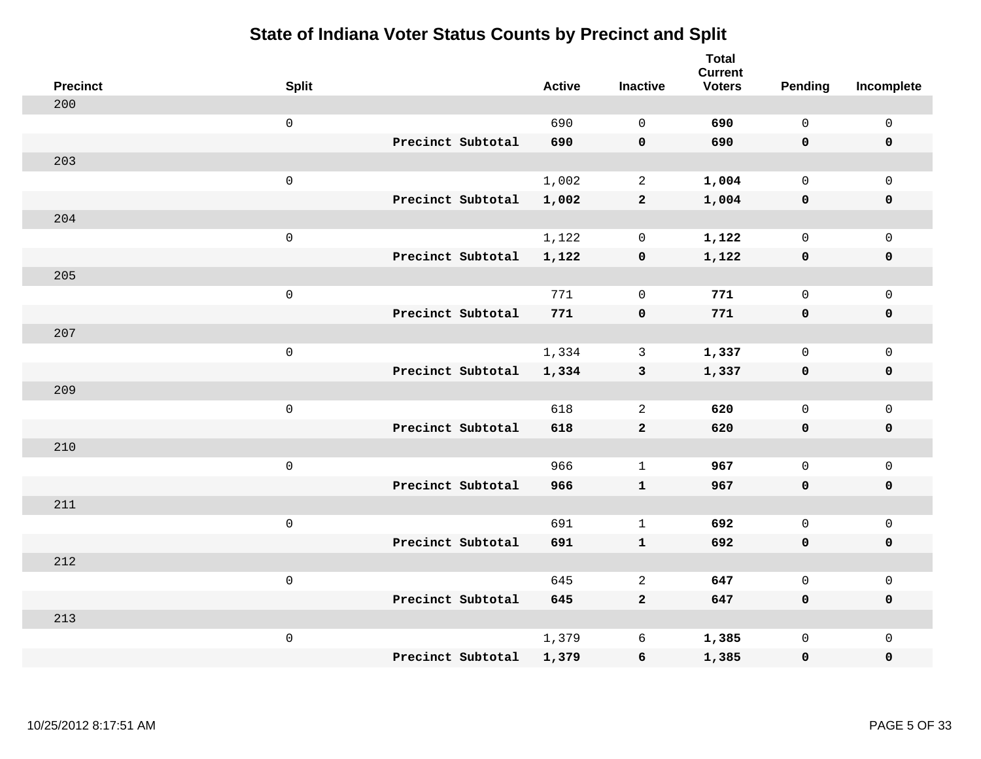| <b>Precinct</b> | <b>Split</b>        |                   | <b>Active</b> | <b>Inactive</b> | <b>Total</b><br><b>Current</b><br><b>Voters</b> | <b>Pending</b> | Incomplete          |
|-----------------|---------------------|-------------------|---------------|-----------------|-------------------------------------------------|----------------|---------------------|
| 200             |                     |                   |               |                 |                                                 |                |                     |
|                 | $\mathsf{O}\xspace$ |                   | 690           | $\Omega$        | 690                                             | $\mathsf{O}$   | $\mathsf{O}\xspace$ |
|                 |                     | Precinct Subtotal | 690           | $\mathbf 0$     | 690                                             | $\mathbf 0$    | $\mathbf 0$         |
| 203             |                     |                   |               |                 |                                                 |                |                     |
|                 | $\mathsf{O}\xspace$ |                   | 1,002         | 2               | 1,004                                           | $\mathbf 0$    | $\mathsf{O}$        |
|                 |                     | Precinct Subtotal | 1,002         | $\mathbf{2}$    | 1,004                                           | $\mathbf 0$    | 0                   |
| 204             |                     |                   |               |                 |                                                 |                |                     |
|                 | $\mathsf{O}\xspace$ |                   | 1,122         | $\mathbf 0$     | 1,122                                           | $\mathbf 0$    | $\mathsf{O}\xspace$ |
|                 |                     | Precinct Subtotal | 1,122         | $\mathbf 0$     | 1,122                                           | $\mathbf 0$    | $\pmb{0}$           |
| 205             |                     |                   |               |                 |                                                 |                |                     |
|                 | $\mathsf{O}\xspace$ |                   | 771           | $\mathbf 0$     | 771                                             | $\mathbf 0$    | $\mathsf{O}$        |
|                 |                     | Precinct Subtotal | 771           | $\mathbf 0$     | 771                                             | 0              | 0                   |
| 207             |                     |                   |               |                 |                                                 |                |                     |
|                 | $\mathsf{O}\xspace$ |                   | 1,334         | $\mathbf{3}$    | 1,337                                           | $\mathbf 0$    | $\mathsf{O}\xspace$ |
|                 |                     | Precinct Subtotal | 1,334         | $\mathbf{3}$    | 1,337                                           | 0              | 0                   |
| 209             |                     |                   |               |                 |                                                 |                |                     |
|                 | $\mathsf 0$         |                   | 618           | 2               | 620                                             | $\mathbf 0$    | $\mathsf{O}\xspace$ |
|                 |                     | Precinct Subtotal | 618           | $\mathbf{2}$    | 620                                             | 0              | 0                   |
| 210             |                     |                   |               |                 |                                                 |                |                     |
|                 | $\mathsf{O}\xspace$ |                   | 966           | $\mathbf{1}$    | 967                                             | $\mathsf{O}$   | $\mathsf{O}$        |
|                 |                     | Precinct Subtotal | 966           | $\mathbf{1}$    | 967                                             | $\mathbf 0$    | 0                   |
| 211             |                     |                   |               |                 |                                                 |                |                     |
|                 | $\mathsf{O}\xspace$ |                   | 691           | $\mathbf{1}$    | 692                                             | $\mathsf{O}$   | $\mathsf{O}$        |
|                 |                     | Precinct Subtotal | 691           | $\mathbf{1}$    | 692                                             | 0              | 0                   |
| 212             |                     |                   |               |                 |                                                 |                |                     |
|                 | $\mathsf 0$         |                   | 645           | 2               | 647                                             | $\mathbf 0$    | $\mathsf{O}$        |
|                 |                     | Precinct Subtotal | 645           | $\mathbf{2}$    | 647                                             | 0              | 0                   |
| 213             |                     |                   |               |                 |                                                 |                |                     |
|                 | $\mathsf 0$         |                   | 1,379         | 6               | 1,385                                           | $\mathsf{O}$   | $\mathsf{O}$        |
|                 |                     | Precinct Subtotal | 1,379         | 6               | 1,385                                           | 0              | 0                   |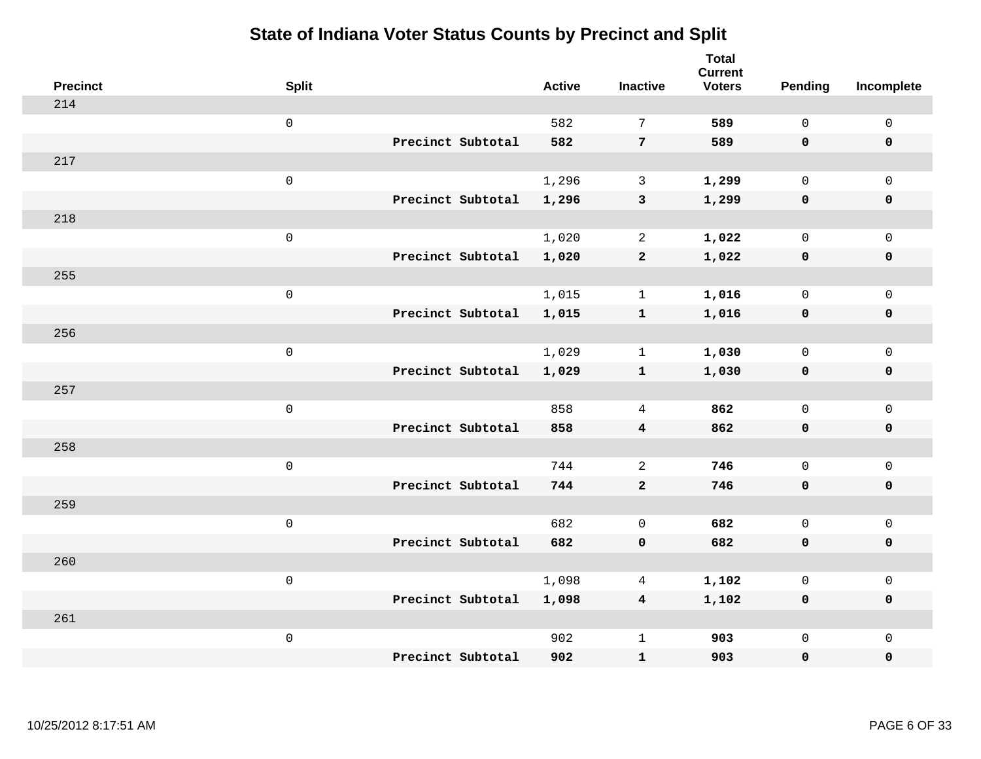| <b>Precinct</b> | <b>Split</b>        |                   | <b>Active</b> | <b>Inactive</b>  | <b>Total</b><br><b>Current</b><br><b>Voters</b> | <b>Pending</b> | Incomplete          |
|-----------------|---------------------|-------------------|---------------|------------------|-------------------------------------------------|----------------|---------------------|
| 214             |                     |                   |               |                  |                                                 |                |                     |
|                 | $\mathsf{O}\xspace$ |                   | 582           | $7\phantom{.0}$  | 589                                             | $\mathbf 0$    | $\mathsf 0$         |
|                 |                     | Precinct Subtotal | 582           | $7\phantom{.0}$  | 589                                             | $\mathbf 0$    | $\mathbf 0$         |
| 217             |                     |                   |               |                  |                                                 |                |                     |
|                 | $\mathsf 0$         |                   | 1,296         | $\mathbf{3}$     | 1,299                                           | $\mathsf{O}$   | $\mathbf 0$         |
|                 |                     | Precinct Subtotal | 1,296         | $\mathbf{3}$     | 1,299                                           | 0              | $\pmb{0}$           |
| 218             |                     |                   |               |                  |                                                 |                |                     |
|                 | $\mathsf 0$         |                   | 1,020         | 2                | 1,022                                           | $\mathbf 0$    | $\mathsf 0$         |
|                 |                     | Precinct Subtotal | 1,020         | $\overline{a}$   | 1,022                                           | $\mathbf 0$    | $\mathbf 0$         |
| 255             |                     |                   |               |                  |                                                 |                |                     |
|                 | $\mathsf 0$         |                   | 1,015         | $\mathbf{1}$     | 1,016                                           | $\mathbf 0$    | $\mathsf 0$         |
|                 |                     | Precinct Subtotal | 1,015         | $\mathbf{1}$     | 1,016                                           | $\mathbf 0$    | $\pmb{0}$           |
| 256             |                     |                   |               |                  |                                                 |                |                     |
|                 | $\mathsf 0$         |                   | 1,029         | $\mathbf{1}$     | 1,030                                           | $\mathbf 0$    | $\mathbf 0$         |
|                 |                     | Precinct Subtotal | 1,029         | $\mathbf{1}$     | 1,030                                           | 0              | $\mathbf 0$         |
| 257             |                     |                   |               |                  |                                                 |                |                     |
|                 | $\mathsf 0$         |                   | 858           | $\overline{4}$   | 862                                             | $\mathsf{O}$   | $\mathsf 0$         |
|                 |                     | Precinct Subtotal | 858           | $\boldsymbol{4}$ | 862                                             | 0              | 0                   |
| 258             |                     |                   |               |                  |                                                 |                |                     |
|                 | $\mathsf 0$         |                   | 744           | 2                | 746                                             | $\mathbf 0$    | $\mathsf{O}\xspace$ |
|                 |                     | Precinct Subtotal | 744           | $\mathbf{2}$     | 746                                             | 0              | $\mathbf 0$         |
| 259             |                     |                   |               |                  |                                                 |                |                     |
|                 | $\mathsf 0$         |                   | 682           | $\mathbf 0$      | 682                                             | $\mathbf 0$    | $\mathsf{O}\xspace$ |
|                 |                     | Precinct Subtotal | 682           | $\mathbf 0$      | 682                                             | $\mathbf 0$    | $\mathbf 0$         |
| 260             |                     |                   |               |                  |                                                 |                |                     |
|                 | $\mathsf 0$         |                   | 1,098         | 4                | 1,102                                           | 0              | $\mathsf 0$         |
|                 |                     | Precinct Subtotal | 1,098         | $\overline{4}$   | 1,102                                           | $\mathbf 0$    | $\mathbf 0$         |
| 261             |                     |                   |               |                  |                                                 |                |                     |
|                 | $\mathsf 0$         |                   | 902           | $\mathbf{1}$     | 903                                             | $\mathsf{O}$   | $\mathbf 0$         |
|                 |                     | Precinct Subtotal | 902           | ${\bf 1}$        | 903                                             | 0              | $\pmb{0}$           |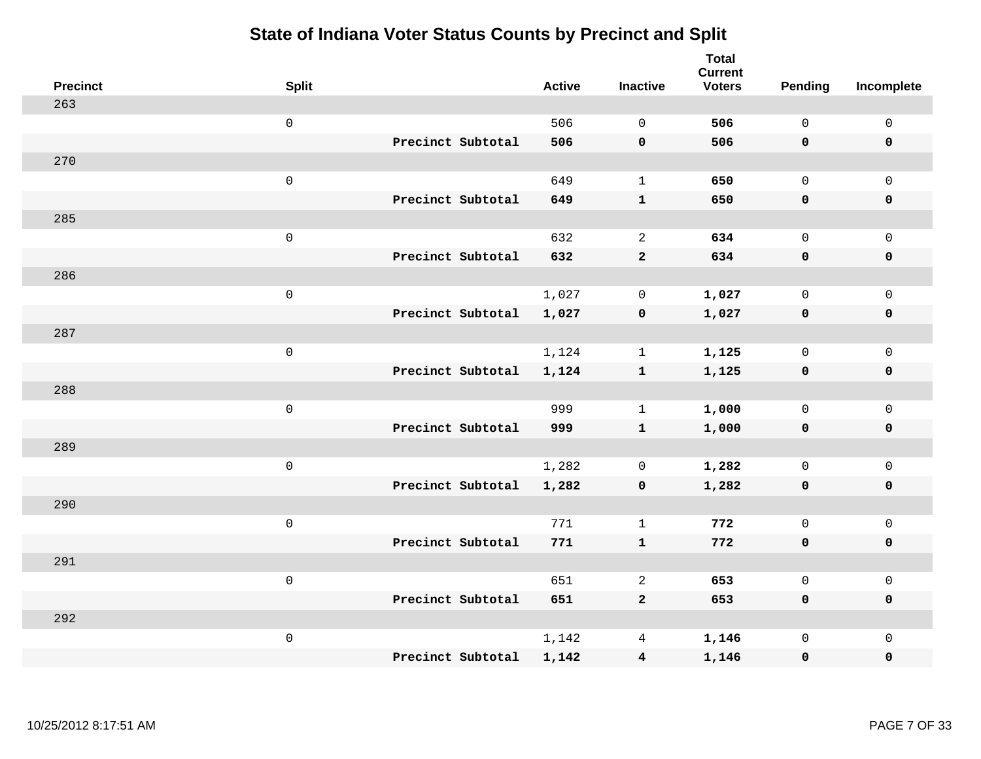| <b>Precinct</b> | <b>Split</b>        |                   | <b>Active</b> | <b>Inactive</b>         | <b>Total</b><br><b>Current</b><br><b>Voters</b> | <b>Pending</b> | Incomplete  |
|-----------------|---------------------|-------------------|---------------|-------------------------|-------------------------------------------------|----------------|-------------|
| 263             |                     |                   |               |                         |                                                 |                |             |
|                 | $\mathsf 0$         |                   | 506           | $\mathbf 0$             | 506                                             | $\mathsf{O}$   | $\mathsf 0$ |
|                 |                     | Precinct Subtotal | 506           | $\mathbf 0$             | 506                                             | $\mathbf 0$    | $\mathbf 0$ |
| 270             |                     |                   |               |                         |                                                 |                |             |
|                 | $\mathsf 0$         |                   | 649           | $\mathbf{1}$            | 650                                             | $\mathsf{O}$   | $\mathbf 0$ |
|                 |                     | Precinct Subtotal | 649           | ${\bf 1}$               | 650                                             | $\mathbf 0$    | $\mathbf 0$ |
| 285             |                     |                   |               |                         |                                                 |                |             |
|                 | $\mathsf{O}\xspace$ |                   | 632           | $\overline{2}$          | 634                                             | $\mathbf 0$    | $\mathbf 0$ |
|                 |                     | Precinct Subtotal | 632           | $\mathbf{2}$            | 634                                             | 0              | $\mathbf 0$ |
| 286             |                     |                   |               |                         |                                                 |                |             |
|                 | $\mathsf 0$         |                   | 1,027         | $\mathsf{O}$            | 1,027                                           | $\mathsf{O}$   | $\mathbf 0$ |
|                 |                     | Precinct Subtotal | 1,027         | $\pmb{0}$               | 1,027                                           | $\mathbf 0$    | $\pmb{0}$   |
| 287             |                     |                   |               |                         |                                                 |                |             |
|                 | $\mathsf 0$         |                   | 1,124         | $\mathbf{1}$            | 1,125                                           | $\mathbf 0$    | $\mathsf 0$ |
|                 |                     | Precinct Subtotal | 1,124         | $\mathbf{1}$            | 1,125                                           | $\mathbf 0$    | $\mathbf 0$ |
| 288             |                     |                   |               |                         |                                                 |                |             |
|                 | $\mathsf 0$         |                   | 999           | $\mathbf{1}$            | 1,000                                           | $\mathbf 0$    | $\mathbf 0$ |
|                 |                     | Precinct Subtotal | 999           | $\mathbf{1}$            | 1,000                                           | $\mathbf 0$    | $\mathbf 0$ |
| 289             |                     |                   |               |                         |                                                 |                |             |
|                 | $\mathsf 0$         |                   | 1,282         | 0                       | 1,282                                           | $\mathsf{O}$   | $\mathbf 0$ |
|                 |                     | Precinct Subtotal | 1,282         | $\mathbf 0$             | 1,282                                           | 0              | $\mathbf 0$ |
| 290             |                     |                   |               |                         |                                                 |                |             |
|                 | $\mathsf 0$         |                   | 771           | $\mathbf{1}$            | 772                                             | $\mathbf 0$    | $\mathsf 0$ |
|                 |                     | Precinct Subtotal | 771           | $\mathbf{1}$            | 772                                             | $\mathbf 0$    | $\mathbf 0$ |
| 291             |                     |                   |               |                         |                                                 |                |             |
|                 | $\mathsf 0$         |                   | 651           | 2                       | 653                                             | $\mathbf 0$    | $\mathsf 0$ |
|                 |                     | Precinct Subtotal | 651           | $\mathbf{2}$            | 653                                             | $\mathbf 0$    | $\mathbf 0$ |
| 292             |                     |                   |               |                         |                                                 |                |             |
|                 | $\mathsf 0$         |                   | 1,142         | 4                       | 1,146                                           | $\mathsf{O}$   | $\mathbf 0$ |
|                 |                     | Precinct Subtotal | 1,142         | $\overline{\mathbf{4}}$ | 1,146                                           | 0              | $\pmb{0}$   |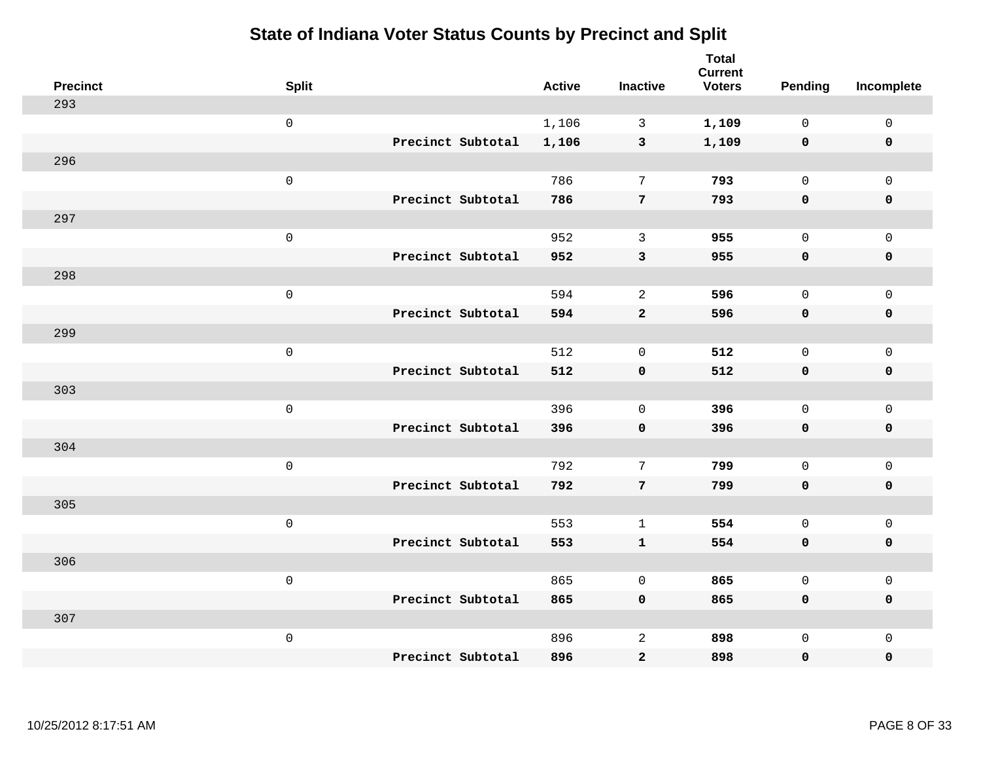| <b>Precinct</b> | <b>Split</b>        |                   | <b>Active</b> | <b>Inactive</b>     | <b>Total</b><br><b>Current</b><br><b>Voters</b> | <b>Pending</b> | Incomplete          |
|-----------------|---------------------|-------------------|---------------|---------------------|-------------------------------------------------|----------------|---------------------|
| 293             |                     |                   |               |                     |                                                 |                |                     |
|                 | $\mathbf 0$         |                   | 1,106         | 3                   | 1,109                                           | $\mathbf{0}$   | $\mathsf{O}$        |
|                 |                     | Precinct Subtotal | 1,106         | $\mathbf{3}$        | 1,109                                           | $\mathbf 0$    | $\mathbf 0$         |
| 296             |                     |                   |               |                     |                                                 |                |                     |
|                 | $\mathsf 0$         |                   | 786           | $\overline{7}$      | 793                                             | 0              | $\mathsf{O}$        |
|                 |                     | Precinct Subtotal | 786           | 7                   | 793                                             | $\mathbf 0$    | $\pmb{0}$           |
| 297             |                     |                   |               |                     |                                                 |                |                     |
|                 | $\mathsf{O}\xspace$ |                   | 952           | 3                   | 955                                             | $\mathbf{0}$   | $\mathsf{O}$        |
|                 |                     | Precinct Subtotal | 952           | $\mathbf{3}$        | 955                                             | 0              | $\mathbf 0$         |
| 298             |                     |                   |               |                     |                                                 |                |                     |
|                 | $\mathsf{O}\xspace$ |                   | 594           | 2                   | 596                                             | $\mathbf{0}$   | $\mathbf 0$         |
|                 |                     | Precinct Subtotal | 594           | $\mathbf{2}$        | 596                                             | $\mathbf 0$    | $\mathbf 0$         |
| 299             |                     |                   |               |                     |                                                 |                |                     |
|                 | $\mathsf{O}\xspace$ |                   | 512           | $\mathbf 0$         | 512                                             | $\mathbf{0}$   | $\mathbf{0}$        |
|                 |                     | Precinct Subtotal | 512           | $\mathbf 0$         | 512                                             | 0              | $\mathbf 0$         |
| 303             |                     |                   |               |                     |                                                 |                |                     |
|                 | $\mathsf 0$         |                   | 396           | $\mathsf{O}\xspace$ | 396                                             | 0              | $\mathsf{O}$        |
|                 |                     | Precinct Subtotal | 396           | $\pmb{0}$           | 396                                             | 0              | $\pmb{0}$           |
| 304             |                     |                   |               |                     |                                                 |                |                     |
|                 | $\mathsf 0$         |                   | 792           | 7                   | 799                                             | 0              | $\mathsf{O}\xspace$ |
|                 |                     | Precinct Subtotal | 792           | 7                   | 799                                             | 0              | $\mathbf 0$         |
| 305             |                     |                   |               |                     |                                                 |                |                     |
|                 | $\mathsf{O}\xspace$ |                   | 553           | $\mathbf{1}$        | 554                                             | 0              | $\mathbf 0$         |
|                 |                     | Precinct Subtotal | 553           | $\mathbf{1}$        | 554                                             | 0              | $\mathbf 0$         |
| 306             |                     |                   |               |                     |                                                 |                |                     |
|                 | $\mathsf 0$         |                   | 865           | $\mathbf 0$         | 865                                             | $\mathbf{0}$   | $\mathbf 0$         |
|                 |                     | Precinct Subtotal | 865           | $\mathbf 0$         | 865                                             | 0              | $\mathbf 0$         |
| 307             |                     |                   |               |                     |                                                 |                |                     |
|                 | $\mathsf 0$         |                   | 896           | $\overline{c}$      | 898                                             | 0              | $\mathsf{O}$        |
|                 |                     | Precinct Subtotal | 896           | $\mathbf{2}$        | 898                                             | 0              | $\mathbf 0$         |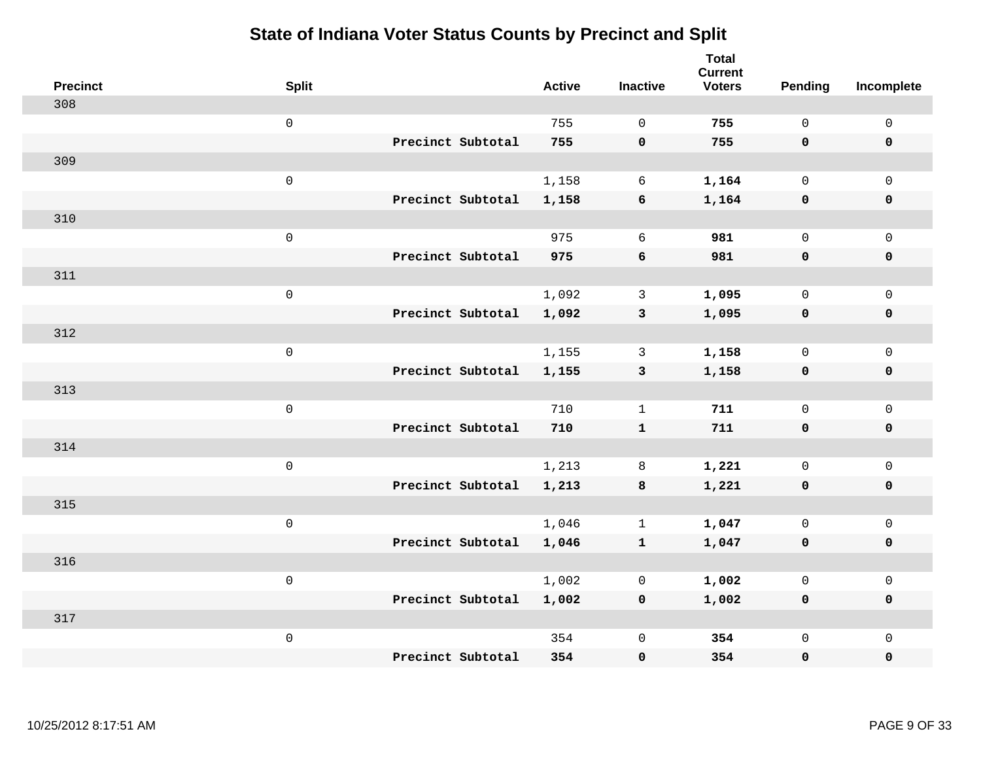| <b>Precinct</b> | <b>Split</b>        |                   | <b>Active</b> | <b>Inactive</b>  | <b>Total</b><br><b>Current</b><br><b>Voters</b> | Pending      | Incomplete  |
|-----------------|---------------------|-------------------|---------------|------------------|-------------------------------------------------|--------------|-------------|
| 308             |                     |                   |               |                  |                                                 |              |             |
|                 | $\mathsf{O}\xspace$ |                   | 755           | $\Omega$         | 755                                             | $\mathsf{O}$ | $\mathbf 0$ |
|                 |                     | Precinct Subtotal | 755           | $\mathbf 0$      | 755                                             | $\mathbf 0$  | $\mathbf 0$ |
| 309             |                     |                   |               |                  |                                                 |              |             |
|                 | $\mathsf 0$         |                   | 1,158         | 6                | 1,164                                           | $\mathbf 0$  | $\mathbf 0$ |
|                 |                     | Precinct Subtotal | 1,158         | $\boldsymbol{6}$ | 1,164                                           | $\mathbf 0$  | $\mathbf 0$ |
| 310             |                     |                   |               |                  |                                                 |              |             |
|                 | $\mathsf 0$         |                   | 975           | 6                | 981                                             | $\mathbf 0$  | $\mathbf 0$ |
|                 |                     | Precinct Subtotal | 975           | 6                | 981                                             | $\mathbf 0$  | $\mathbf 0$ |
| 311             |                     |                   |               |                  |                                                 |              |             |
|                 | $\mathsf 0$         |                   | 1,092         | $\mathbf{3}$     | 1,095                                           | $\mathsf{O}$ | $\mathbf 0$ |
|                 |                     | Precinct Subtotal | 1,092         | $\mathbf{3}$     | 1,095                                           | $\mathbf 0$  | $\mathbf 0$ |
| 312             |                     |                   |               |                  |                                                 |              |             |
|                 | $\mathsf 0$         |                   | 1,155         | 3                | 1,158                                           | $\mathbf 0$  | $\mathbf 0$ |
|                 |                     | Precinct Subtotal | 1,155         | $\mathbf{3}$     | 1,158                                           | 0            | $\mathbf 0$ |
| 313             |                     |                   |               |                  |                                                 |              |             |
|                 | $\mathsf 0$         |                   | 710           | $\mathbf{1}$     | 711                                             | $\mathbf 0$  | $\mathsf 0$ |
|                 |                     | Precinct Subtotal | 710           | $\mathbf{1}$     | 711                                             | $\mathbf 0$  | $\mathbf 0$ |
| 314             |                     |                   |               |                  |                                                 |              |             |
|                 | $\mathbf 0$         |                   | 1,213         | 8                | 1,221                                           | 0            | $\mathbf 0$ |
|                 |                     | Precinct Subtotal | 1,213         | 8                | 1,221                                           | 0            | 0           |
| 315             |                     |                   |               |                  |                                                 |              |             |
|                 | $\mathsf 0$         |                   | 1,046         | $\mathbf{1}$     | 1,047                                           | $\mathsf{O}$ | $\mathbf 0$ |
|                 |                     | Precinct Subtotal | 1,046         | $\mathbf{1}$     | 1,047                                           | 0            | $\pmb{0}$   |
| 316             |                     |                   |               |                  |                                                 |              |             |
|                 | $\mathbf 0$         |                   | 1,002         | 0                | 1,002                                           | $\mathbf 0$  | $\mathbf 0$ |
|                 |                     | Precinct Subtotal | 1,002         | $\mathbf 0$      | 1,002                                           | $\mathbf 0$  | $\mathbf 0$ |
| 317             |                     |                   |               |                  |                                                 |              |             |
|                 | $\mathsf 0$         |                   | 354           | $\mathsf 0$      | 354                                             | $\mathsf{O}$ | $\mathbf 0$ |
|                 |                     | Precinct Subtotal | 354           | $\pmb{0}$        | 354                                             | 0            | 0           |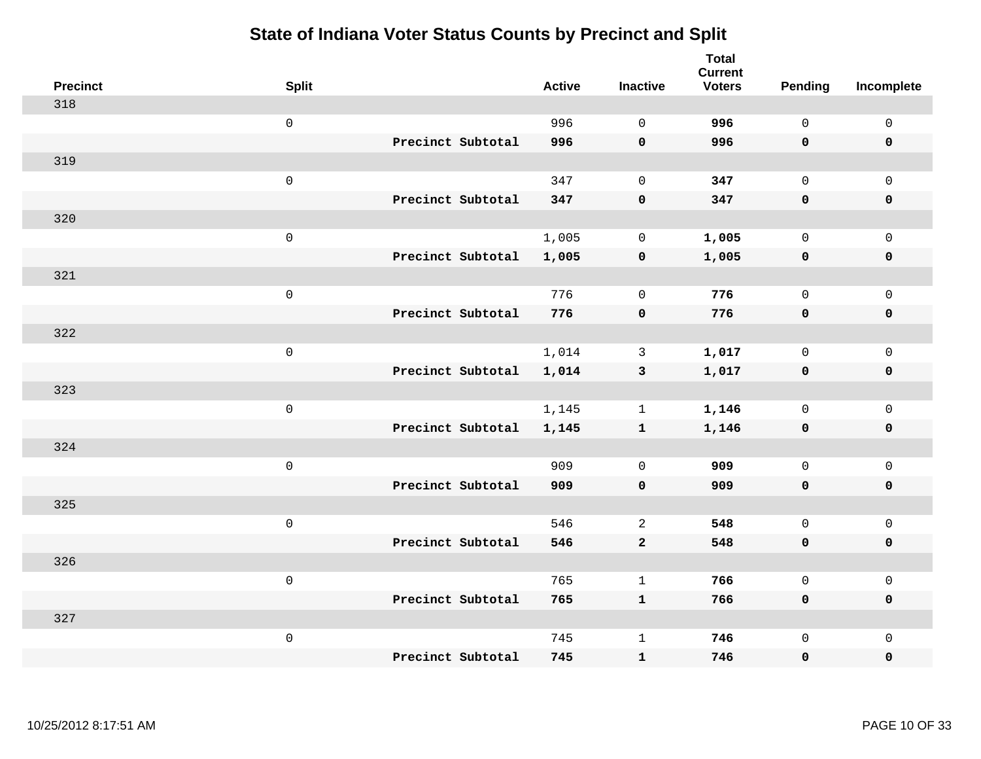| <b>Precinct</b> | <b>Split</b>        | <b>Active</b> | <b>Inactive</b> | <b>Total</b><br><b>Current</b><br><b>Voters</b> | Pending      | Incomplete          |
|-----------------|---------------------|---------------|-----------------|-------------------------------------------------|--------------|---------------------|
| 318             |                     |               |                 |                                                 |              |                     |
|                 | $\mathsf{O}\xspace$ | 996           | $\Omega$        | 996                                             | $\mathsf{O}$ | $\mathbf 0$         |
|                 | Precinct Subtotal   | 996           | $\mathbf 0$     | 996                                             | $\mathbf 0$  | $\mathbf 0$         |
| 319             |                     |               |                 |                                                 |              |                     |
|                 | $\mathsf 0$         | 347           | $\mathbf 0$     | 347                                             | $\mathbf 0$  | $\mathbf{0}$        |
|                 | Precinct Subtotal   | 347           | $\pmb{0}$       | 347                                             | $\mathbf 0$  | $\pmb{0}$           |
| 320             |                     |               |                 |                                                 |              |                     |
|                 | $\mathsf 0$         | 1,005         | $\mathbf 0$     | 1,005                                           | $\mathbf 0$  | $\mathbf 0$         |
|                 | Precinct Subtotal   | 1,005         | $\mathbf 0$     | 1,005                                           | $\mathbf 0$  | $\mathbf 0$         |
| 321             |                     |               |                 |                                                 |              |                     |
|                 | $\mathsf 0$         | 776           | $\mathbf 0$     | 776                                             | $\mathsf{O}$ | $\mathbf 0$         |
|                 | Precinct Subtotal   | 776           | $\mathbf 0$     | 776                                             | $\mathbf 0$  | $\mathbf 0$         |
| 322             |                     |               |                 |                                                 |              |                     |
|                 | $\mathsf 0$         | 1,014         | 3               | 1,017                                           | $\mathbf 0$  | $\mathsf{O}\xspace$ |
|                 | Precinct Subtotal   | 1,014         | $\mathbf{3}$    | 1,017                                           | 0            | $\mathbf 0$         |
| 323             |                     |               |                 |                                                 |              |                     |
|                 | $\mathsf 0$         | 1,145         | $\mathbf{1}$    | 1,146                                           | $\mathbf 0$  | $\mathsf{O}\xspace$ |
|                 | Precinct Subtotal   | 1,145         | $\mathbf{1}$    | 1,146                                           | $\mathbf 0$  | $\mathbf 0$         |
| 324             |                     |               |                 |                                                 |              |                     |
|                 | $\mathbf 0$         | 909           | $\mathbf 0$     | 909                                             | $\mathsf{O}$ | $\mathbf 0$         |
|                 | Precinct Subtotal   | 909           | $\mathbf 0$     | 909                                             | $\mathbf 0$  | 0                   |
| 325             |                     |               |                 |                                                 |              |                     |
|                 | $\mathsf 0$         | 546           | $\mathbf{2}$    | 548                                             | $\mathbf 0$  | $\mathsf{O}\xspace$ |
|                 | Precinct Subtotal   | 546           | $\mathbf{2}$    | 548                                             | $\mathbf 0$  | $\pmb{0}$           |
| 326             |                     |               |                 |                                                 |              |                     |
|                 | $\mathbf 0$         | 765           | $\mathbf{1}$    | 766                                             | $\mathbf 0$  | $\mathbf 0$         |
|                 | Precinct Subtotal   | 765           | $\mathbf{1}$    | 766                                             | 0            | $\mathbf 0$         |
| 327             |                     |               |                 |                                                 |              |                     |
|                 | $\mathbf 0$         | 745           | $\mathbf{1}$    | 746                                             | $\mathsf{O}$ | $\mathbf 0$         |
|                 | Precinct Subtotal   | 745           | ${\bf 1}$       | 746                                             | 0            | 0                   |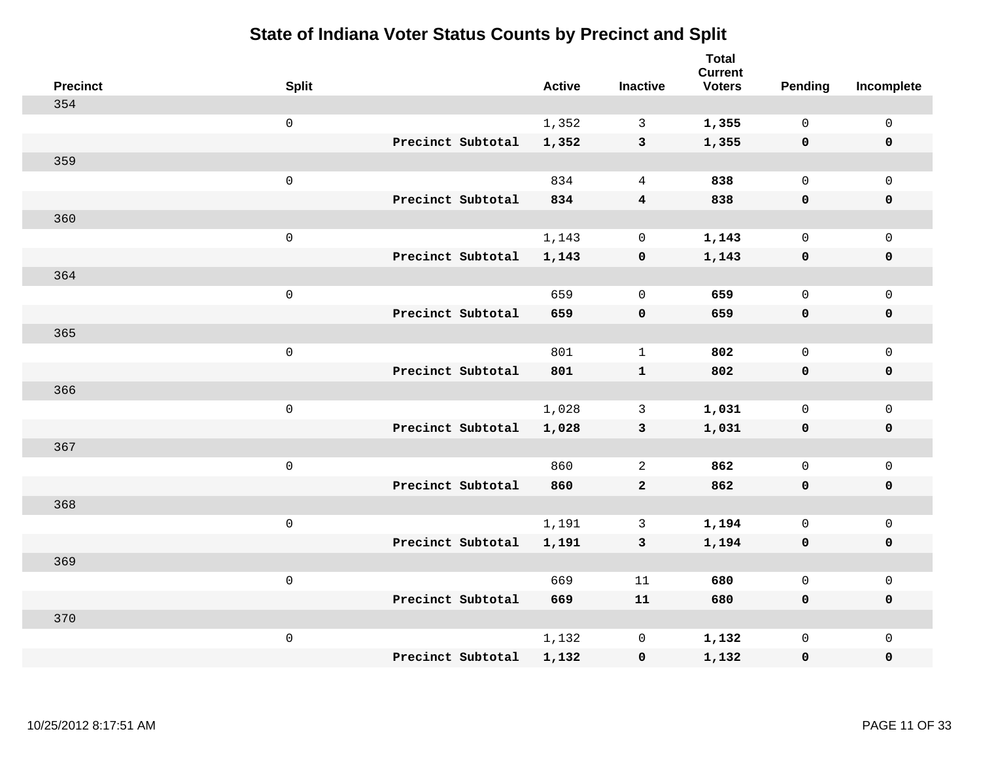| <b>Precinct</b> | <b>Split</b>        | <b>Active</b> | <b>Inactive</b>         | <b>Total</b><br><b>Current</b><br><b>Voters</b> | <b>Pending</b> | Incomplete          |
|-----------------|---------------------|---------------|-------------------------|-------------------------------------------------|----------------|---------------------|
| 354             |                     |               |                         |                                                 |                |                     |
|                 | $\mathsf{O}\xspace$ | 1,352         | $\mathbf{3}$            | 1,355                                           | $\mathbf 0$    | $\mathsf{O}\xspace$ |
|                 | Precinct Subtotal   | 1,352         | $\mathbf{3}$            | 1,355                                           | $\mathbf 0$    | $\mathbf 0$         |
| 359             |                     |               |                         |                                                 |                |                     |
|                 | $\mathsf 0$         | 834           | $\overline{4}$          | 838                                             | $\mathbf{0}$   | $\mathsf{O}$        |
|                 | Precinct Subtotal   | 834           | $\overline{\mathbf{4}}$ | 838                                             | $\mathbf 0$    | 0                   |
| 360             |                     |               |                         |                                                 |                |                     |
|                 | $\mathsf 0$         | 1,143         | $\mathbf 0$             | 1,143                                           | $\mathbf 0$    | $\mathsf{O}\xspace$ |
|                 | Precinct Subtotal   | 1,143         | $\pmb{0}$               | 1,143                                           | $\mathbf 0$    | $\pmb{0}$           |
| 364             |                     |               |                         |                                                 |                |                     |
|                 | $\mathsf 0$         | 659           | $\mathbf 0$             | 659                                             | $\mathbf 0$    | $\mathsf{O}$        |
|                 | Precinct Subtotal   | 659           | $\mathbf 0$             | 659                                             | $\mathbf 0$    | 0                   |
| 365             |                     |               |                         |                                                 |                |                     |
|                 | $\mathsf 0$         | 801           | $\mathbf{1}$            | 802                                             | $\mathbf 0$    | $\mathsf{O}\xspace$ |
|                 | Precinct Subtotal   | 801           | $\mathbf{1}$            | 802                                             | $\mathbf 0$    | 0                   |
| 366             |                     |               |                         |                                                 |                |                     |
|                 | $\mathsf{O}\xspace$ | 1,028         | 3                       | 1,031                                           | $\mathbf 0$    | $\mathsf{O}\xspace$ |
|                 | Precinct Subtotal   | 1,028         | $\mathbf{3}$            | 1,031                                           | $\mathbf 0$    | 0                   |
| 367             |                     |               |                         |                                                 |                |                     |
|                 | $\mathsf 0$         | 860           | 2                       | 862                                             | $\mathbf 0$    | $\mathsf{O}$        |
|                 | Precinct Subtotal   | 860           | $\overline{2}$          | 862                                             | $\mathbf 0$    | 0                   |
| 368             |                     |               |                         |                                                 |                |                     |
|                 | $\mathsf 0$         | 1,191         | $\mathbf{3}$            | 1,194                                           | $\mathsf{O}$   | $\mathsf{O}\xspace$ |
|                 | Precinct Subtotal   | 1,191         | 3                       | 1,194                                           | 0              | 0                   |
| 369             |                     |               |                         |                                                 |                |                     |
|                 | $\mathsf 0$         | 669           | 11                      | 680                                             | $\mathbf{0}$   | $\mathsf{O}$        |
|                 | Precinct Subtotal   | 669           | ${\bf 11}$              | 680                                             | 0              | 0                   |
| 370             |                     |               |                         |                                                 |                |                     |
|                 | $\mathsf 0$         | 1,132         | $\mathbf 0$             | 1,132                                           | $\mathsf{O}$   | $\mathsf{O}$        |
|                 | Precinct Subtotal   | 1,132         | $\mathbf 0$             | 1,132                                           | 0              | 0                   |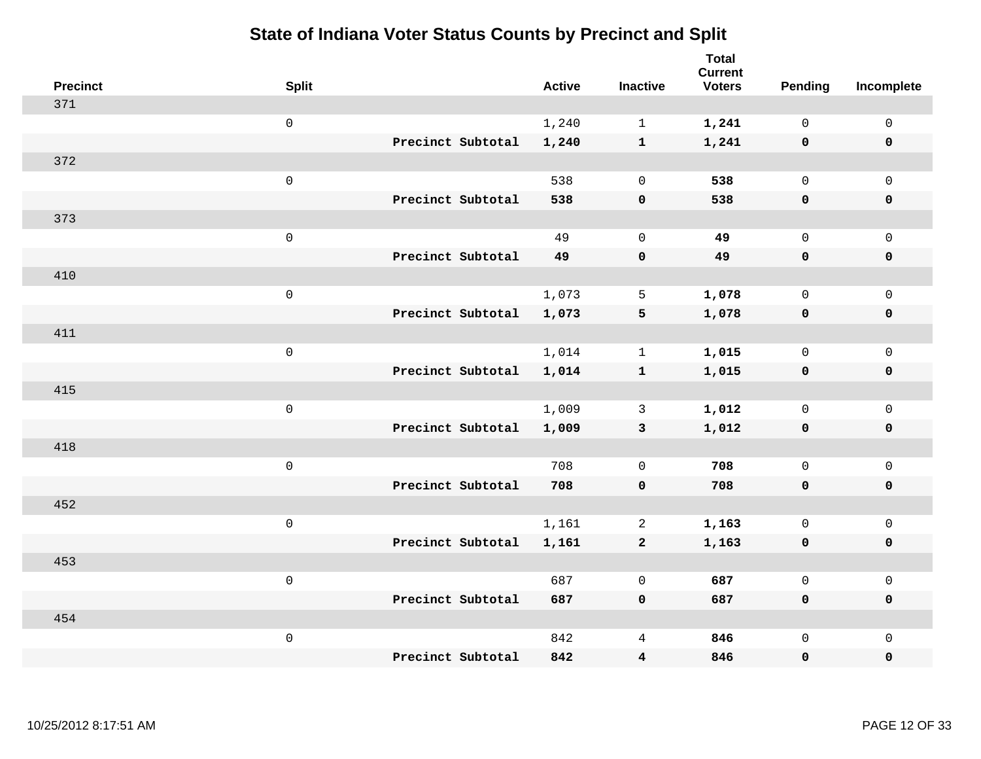| <b>Precinct</b> | <b>Split</b>        |                   | <b>Active</b> | <b>Inactive</b>         | <b>Total</b><br><b>Current</b><br><b>Voters</b> | Pending             | Incomplete          |
|-----------------|---------------------|-------------------|---------------|-------------------------|-------------------------------------------------|---------------------|---------------------|
| 371             |                     |                   |               |                         |                                                 |                     |                     |
|                 | $\mathsf{O}$        |                   | 1,240         | $\mathbf{1}$            | 1,241                                           | $\mathbf 0$         | $\mathsf{O}$        |
|                 |                     | Precinct Subtotal | 1,240         | $\mathbf{1}$            | 1,241                                           | $\mathbf 0$         | $\mathbf 0$         |
| 372             |                     |                   |               |                         |                                                 |                     |                     |
|                 | $\mathsf{O}\xspace$ |                   | 538           | $\mathbf 0$             | 538                                             | $\mathbf 0$         | $\mathsf{O}$        |
|                 |                     | Precinct Subtotal | 538           | $\mathbf 0$             | 538                                             | 0                   | 0                   |
| 373             |                     |                   |               |                         |                                                 |                     |                     |
|                 | $\mathsf 0$         |                   | 49            | $\mathbf 0$             | 49                                              | $\mathbf 0$         | $\mathsf{O}\xspace$ |
|                 |                     | Precinct Subtotal | 49            | $\mathbf 0$             | 49                                              | $\mathbf 0$         | 0                   |
| 410             |                     |                   |               |                         |                                                 |                     |                     |
|                 | $\mathsf{O}\xspace$ |                   | 1,073         | 5                       | 1,078                                           | $\mathsf{O}\xspace$ | $\mathsf{O}\xspace$ |
|                 |                     | Precinct Subtotal | 1,073         | 5                       | 1,078                                           | $\mathbf 0$         | 0                   |
| 411             |                     |                   |               |                         |                                                 |                     |                     |
|                 | $\mathsf{O}\xspace$ |                   | 1,014         | $\mathbf 1$             | 1,015                                           | $\mathbf 0$         | $\mathsf{O}$        |
|                 |                     | Precinct Subtotal | 1,014         | $\mathbf{1}$            | 1,015                                           | $\mathbf 0$         | 0                   |
| 415             |                     |                   |               |                         |                                                 |                     |                     |
|                 | $\mathsf 0$         |                   | 1,009         | $\mathbf{3}$            | 1,012                                           | $\mathbf 0$         | $\mathsf{O}$        |
|                 |                     | Precinct Subtotal | 1,009         | $\mathbf{3}$            | 1,012                                           | 0                   | 0                   |
| 418             |                     |                   |               |                         |                                                 |                     |                     |
|                 | $\mathsf{O}\xspace$ |                   | 708           | $\mathbf 0$             | 708                                             | $\mathsf 0$         | $\mathsf{O}\xspace$ |
|                 |                     | Precinct Subtotal | 708           | $\mathbf 0$             | 708                                             | 0                   | 0                   |
| 452             |                     |                   |               |                         |                                                 |                     |                     |
|                 | $\mathsf{O}\xspace$ |                   | 1,161         | 2                       | 1,163                                           | $\mathsf{O}$        | $\mathsf{O}\xspace$ |
|                 |                     | Precinct Subtotal | 1,161         | $\mathbf{2}$            | 1,163                                           | $\mathbf 0$         | 0                   |
| 453             |                     |                   |               |                         |                                                 |                     |                     |
|                 | $\mathsf{O}\xspace$ |                   | 687           | $\mathbf 0$             | 687                                             | $\mathbf 0$         | $\mathsf{O}\xspace$ |
|                 |                     | Precinct Subtotal | 687           | $\mathbf 0$             | 687                                             | 0                   | 0                   |
| 454             |                     |                   |               |                         |                                                 |                     |                     |
|                 | $\mathsf 0$         |                   | 842           | 4                       | 846                                             | $\mathsf{O}$        | $\mathsf{O}$        |
|                 |                     | Precinct Subtotal | 842           | $\overline{\mathbf{4}}$ | 846                                             | 0                   | 0                   |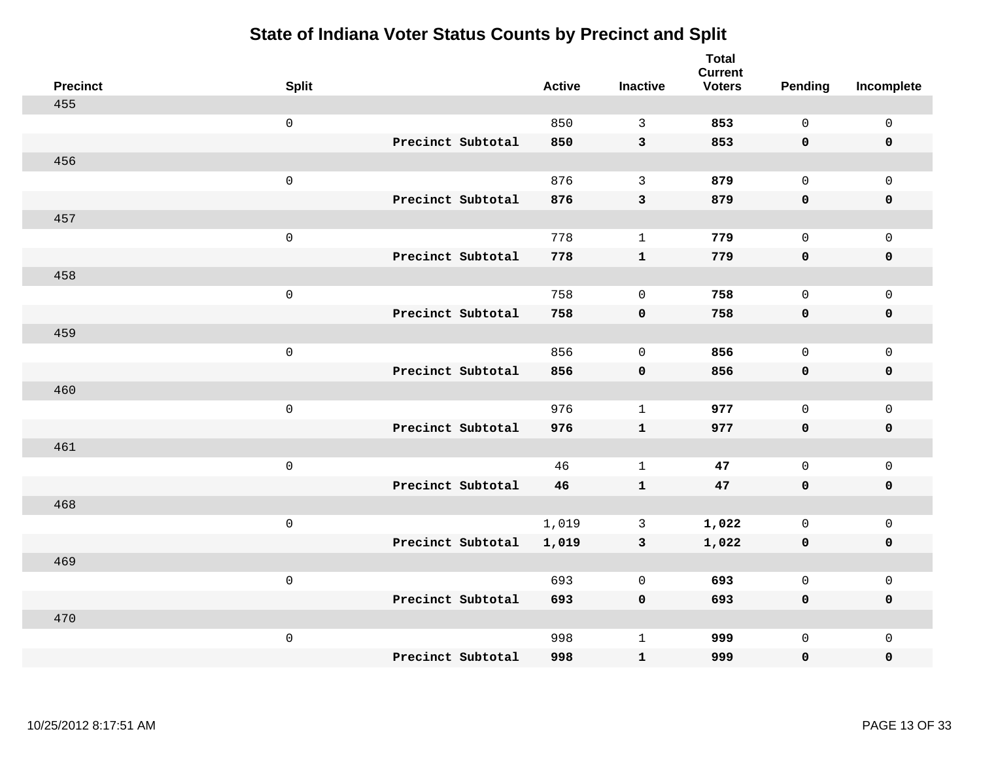| <b>Precinct</b> | <b>Split</b>        | <b>Active</b> | <b>Inactive</b> | <b>Total</b><br><b>Current</b><br><b>Voters</b> | <b>Pending</b> | Incomplete          |
|-----------------|---------------------|---------------|-----------------|-------------------------------------------------|----------------|---------------------|
| 455             |                     |               |                 |                                                 |                |                     |
|                 | $\mathsf 0$         | 850           | 3               | 853                                             | $\mathbf 0$    | $\mathsf 0$         |
|                 | Precinct Subtotal   | 850           | $\mathbf{3}$    | 853                                             | $\mathbf 0$    | $\mathbf 0$         |
| 456             |                     |               |                 |                                                 |                |                     |
|                 | $\mathsf{O}\xspace$ | 876           | $\mathbf{3}$    | 879                                             | $\mathbf{0}$   | $\mathsf{O}$        |
|                 | Precinct Subtotal   | 876           | $\mathsf 3$     | 879                                             | $\mathbf 0$    | 0                   |
| 457             |                     |               |                 |                                                 |                |                     |
|                 | $\mathsf 0$         | 778           | $\mathbf{1}$    | 779                                             | $\mathbf{0}$   | $\mathsf{O}\xspace$ |
|                 | Precinct Subtotal   | 778           | $\mathbf{1}$    | 779                                             | 0              | $\mathbf 0$         |
| 458             |                     |               |                 |                                                 |                |                     |
|                 | $\mathsf{O}\xspace$ | 758           | $\mathbf 0$     | 758                                             | $\mathbf 0$    | $\mathsf{O}$        |
|                 | Precinct Subtotal   | 758           | $\mathbf 0$     | 758                                             | 0              | 0                   |
| 459             |                     |               |                 |                                                 |                |                     |
|                 | $\mathsf{O}\xspace$ | 856           | $\mathbf 0$     | 856                                             | $\mathbf{0}$   | $\mathsf{O}\xspace$ |
|                 | Precinct Subtotal   | 856           | $\mathbf 0$     | 856                                             | 0              | 0                   |
| 460             |                     |               |                 |                                                 |                |                     |
|                 | $\mathsf 0$         | 976           | $\mathbf{1}$    | 977                                             | $\mathbf 0$    | $\mathsf{O}$        |
|                 | Precinct Subtotal   | 976           | $\mathbf{1}$    | 977                                             | 0              | 0                   |
| 461             |                     |               |                 |                                                 |                |                     |
|                 | $\mathsf 0$         | 46            | $\mathbf{1}$    | 47                                              | $\mathsf{O}$   | $\mathsf{O}$        |
|                 | Precinct Subtotal   | 46            | $\mathbf{1}$    | 47                                              | $\mathbf 0$    | 0                   |
| 468             |                     |               |                 |                                                 |                |                     |
|                 | $\mathsf 0$         | 1,019         | $\mathbf{3}$    | 1,022                                           | $\mathsf{O}$   | $\mathsf{O}$        |
|                 | Precinct Subtotal   | 1,019         | $\mathbf{3}$    | 1,022                                           | 0              | 0                   |
| 469             |                     |               |                 |                                                 |                |                     |
|                 | $\mathsf{O}\xspace$ | 693           | $\mathbf 0$     | 693                                             | $\mathbf 0$    | $\mathsf{O}$        |
|                 | Precinct Subtotal   | 693           | $\mathbf 0$     | 693                                             | 0              | 0                   |
| 470             |                     |               |                 |                                                 |                |                     |
|                 | $\mathsf 0$         | 998           | $\mathbf{1}$    | 999                                             | $\mathsf{O}$   | $\mathsf{O}$        |
|                 | Precinct Subtotal   | 998           | $\mathbf{1}$    | 999                                             | 0              | $\mathbf 0$         |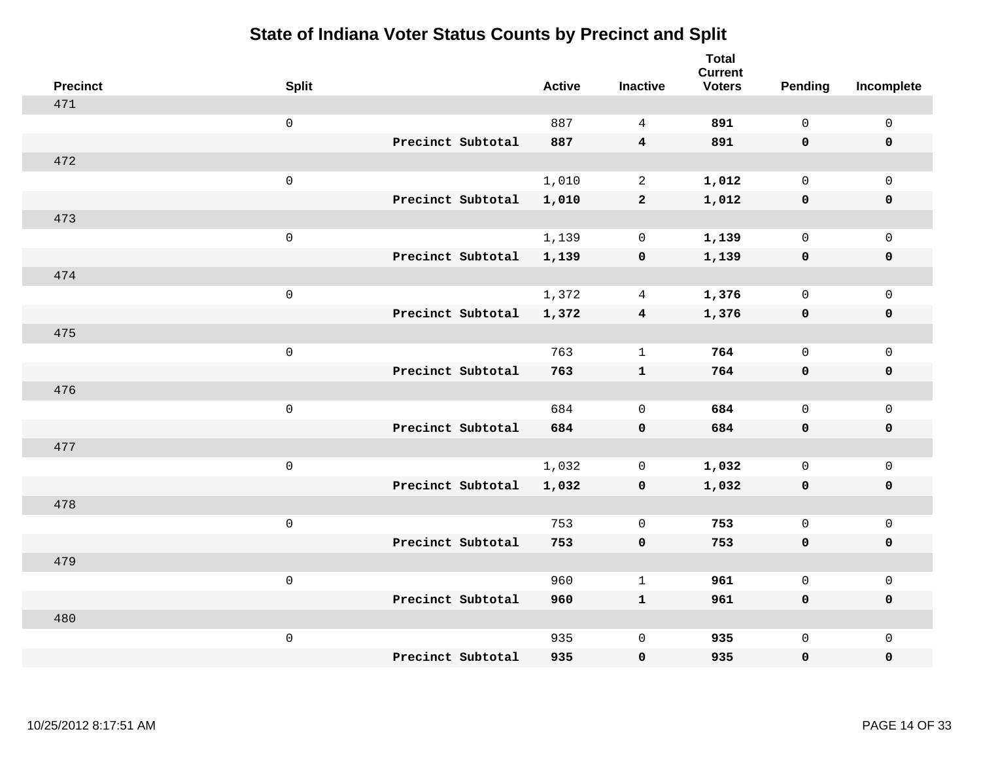| <b>Precinct</b> | <b>Split</b>        |                   | <b>Active</b> | <b>Inactive</b>         | <b>Total</b><br><b>Current</b><br><b>Voters</b> | <b>Pending</b> | Incomplete          |
|-----------------|---------------------|-------------------|---------------|-------------------------|-------------------------------------------------|----------------|---------------------|
| 471             |                     |                   |               |                         |                                                 |                |                     |
|                 | $\mathsf 0$         |                   | 887           | $\overline{4}$          | 891                                             | $\mathbf 0$    | $\mathsf{O}\xspace$ |
|                 |                     | Precinct Subtotal | 887           | $\overline{\mathbf{4}}$ | 891                                             | $\mathbf 0$    | $\mathbf 0$         |
| 472             |                     |                   |               |                         |                                                 |                |                     |
|                 | $\mathsf{O}$        |                   | 1,010         | $\overline{2}$          | 1,012                                           | $\mathbf{0}$   | $\mathsf{O}$        |
|                 |                     | Precinct Subtotal | 1,010         | $\mathbf{2}$            | 1,012                                           | $\mathbf 0$    | 0                   |
| 473             |                     |                   |               |                         |                                                 |                |                     |
|                 | $\mathsf 0$         |                   | 1,139         | $\mathbf 0$             | 1,139                                           | $\mathbf 0$    | $\mathsf{O}\xspace$ |
|                 |                     | Precinct Subtotal | 1,139         | $\mathbf 0$             | 1,139                                           | $\mathbf 0$    | $\pmb{0}$           |
| 474             |                     |                   |               |                         |                                                 |                |                     |
|                 | $\mathsf{O}\xspace$ |                   | 1,372         | 4                       | 1,376                                           | $\mathbf 0$    | $\mathsf{O}$        |
|                 |                     | Precinct Subtotal | 1,372         | $\overline{\mathbf{4}}$ | 1,376                                           | $\mathbf 0$    | 0                   |
| 475             |                     |                   |               |                         |                                                 |                |                     |
|                 | $\mathbf 0$         |                   | 763           | $\mathbf{1}$            | 764                                             | $\mathbf 0$    | $\mathsf{O}\xspace$ |
|                 |                     | Precinct Subtotal | 763           | $\mathbf{1}$            | 764                                             | 0              | 0                   |
| 476             |                     |                   |               |                         |                                                 |                |                     |
|                 | $\mathsf{O}\xspace$ |                   | 684           | $\mathbf 0$             | 684                                             | $\mathbf 0$    | $\mathsf{O}\xspace$ |
|                 |                     | Precinct Subtotal | 684           | $\mathbf 0$             | 684                                             | 0              | 0                   |
| 477             |                     |                   |               |                         |                                                 |                |                     |
|                 | $\mathbf 0$         |                   | 1,032         | 0                       | 1,032                                           | $\mathbf 0$    | $\mathsf{O}$        |
|                 |                     | Precinct Subtotal | 1,032         | 0                       | 1,032                                           | 0              | 0                   |
| 478             |                     |                   |               |                         |                                                 |                |                     |
|                 | $\mathbf 0$         |                   | 753           | $\mathbf 0$             | 753                                             | $\mathbf{0}$   | $\mathsf{O}\xspace$ |
|                 |                     | Precinct Subtotal | 753           | $\mathbf 0$             | 753                                             | 0              | 0                   |
| 479             |                     |                   |               |                         |                                                 |                |                     |
|                 | $\mathbf 0$         |                   | 960           | $\mathbf{1}$            | 961                                             | $\mathbf{0}$   | $\mathsf{O}$        |
|                 |                     | Precinct Subtotal | 960           | $\mathbf{1}$            | 961                                             | 0              | 0                   |
| 480             |                     |                   |               |                         |                                                 |                |                     |
|                 | $\mathbf 0$         |                   | 935           | $\mathbf 0$             | 935                                             | $\mathsf{O}$   | $\mathsf{O}$        |
|                 |                     | Precinct Subtotal | 935           | $\mathbf 0$             | 935                                             | 0              | 0                   |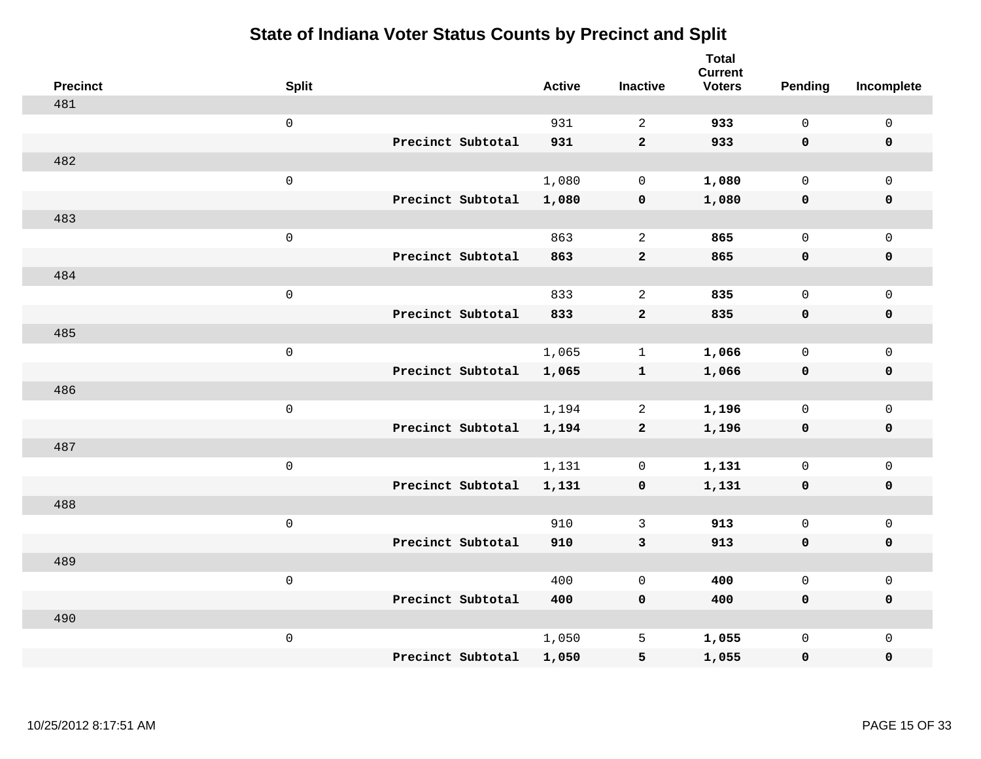| <b>Precinct</b> | <b>Split</b>        |                   | <b>Active</b> | <b>Inactive</b> | <b>Total</b><br><b>Current</b><br><b>Voters</b> | <b>Pending</b> | Incomplete          |
|-----------------|---------------------|-------------------|---------------|-----------------|-------------------------------------------------|----------------|---------------------|
| 481             |                     |                   |               |                 |                                                 |                |                     |
|                 | $\mathsf 0$         |                   | 931           | $\sqrt{2}$      | 933                                             | $\mathsf{O}$   | $\mathsf 0$         |
|                 |                     | Precinct Subtotal | 931           | $\mathbf 2$     | 933                                             | $\mathbf 0$    | $\mathbf 0$         |
| 482             |                     |                   |               |                 |                                                 |                |                     |
|                 | $\mathsf 0$         |                   | 1,080         | $\mathsf{O}$    | 1,080                                           | $\mathsf{O}$   | $\mathsf 0$         |
|                 |                     | Precinct Subtotal | 1,080         | $\pmb{0}$       | 1,080                                           | $\mathbf 0$    | $\pmb{0}$           |
| 483             |                     |                   |               |                 |                                                 |                |                     |
|                 | $\mathsf 0$         |                   | 863           | $\overline{a}$  | 865                                             | $\mathsf{O}$   | $\mathbf 0$         |
|                 |                     | Precinct Subtotal | 863           | $\mathbf{2}$    | 865                                             | $\mathbf 0$    | $\pmb{0}$           |
| 484             |                     |                   |               |                 |                                                 |                |                     |
|                 | $\mathsf 0$         |                   | 833           | $\overline{c}$  | 835                                             | $\mathsf{O}$   | $\mathbf 0$         |
|                 |                     | Precinct Subtotal | 833           | $\mathbf 2$     | 835                                             | $\mathbf 0$    | $\pmb{0}$           |
| 485             |                     |                   |               |                 |                                                 |                |                     |
|                 | $\mathsf{O}\xspace$ |                   | 1,065         | $\mathbf{1}$    | 1,066                                           | $\mathbf 0$    | $\mathsf{O}\xspace$ |
|                 |                     | Precinct Subtotal | 1,065         | $\mathbf{1}$    | 1,066                                           | $\mathbf 0$    | $\pmb{0}$           |
| 486             |                     |                   |               |                 |                                                 |                |                     |
|                 | $\mathbf 0$         |                   | 1,194         | 2               | 1,196                                           | $\mathbf 0$    | $\mathbf 0$         |
|                 |                     | Precinct Subtotal | 1,194         | $\mathbf{2}$    | 1,196                                           | $\mathbf 0$    | $\pmb{0}$           |
| 487             |                     |                   |               |                 |                                                 |                |                     |
|                 | $\mathsf 0$         |                   | 1,131         | 0               | 1,131                                           | $\mathsf{O}$   | $\mathbf 0$         |
|                 |                     | Precinct Subtotal | 1,131         | $\pmb{0}$       | 1,131                                           | 0              | $\mathbf 0$         |
| 488             |                     |                   |               |                 |                                                 |                |                     |
|                 | $\mathbf 0$         |                   | 910           | 3               | 913                                             | $\mathbf 0$    | $\mathsf{O}\xspace$ |
|                 |                     | Precinct Subtotal | 910           | $\mathbf{3}$    | 913                                             | $\mathbf 0$    | $\mathbf 0$         |
| 489             |                     |                   |               |                 |                                                 |                |                     |
|                 | $\mathsf 0$         |                   | 400           | $\mathbf 0$     | 400                                             | $\mathbf 0$    | $\mathsf 0$         |
|                 |                     | Precinct Subtotal | 400           | $\mathbf 0$     | 400                                             | $\mathbf 0$    | $\mathbf 0$         |
| 490             |                     |                   |               |                 |                                                 |                |                     |
|                 | $\mathbf 0$         |                   | 1,050         | 5               | 1,055                                           | $\mathsf{O}$   | $\mathbf 0$         |
|                 |                     | Precinct Subtotal | 1,050         | 5               | 1,055                                           | 0              | $\pmb{0}$           |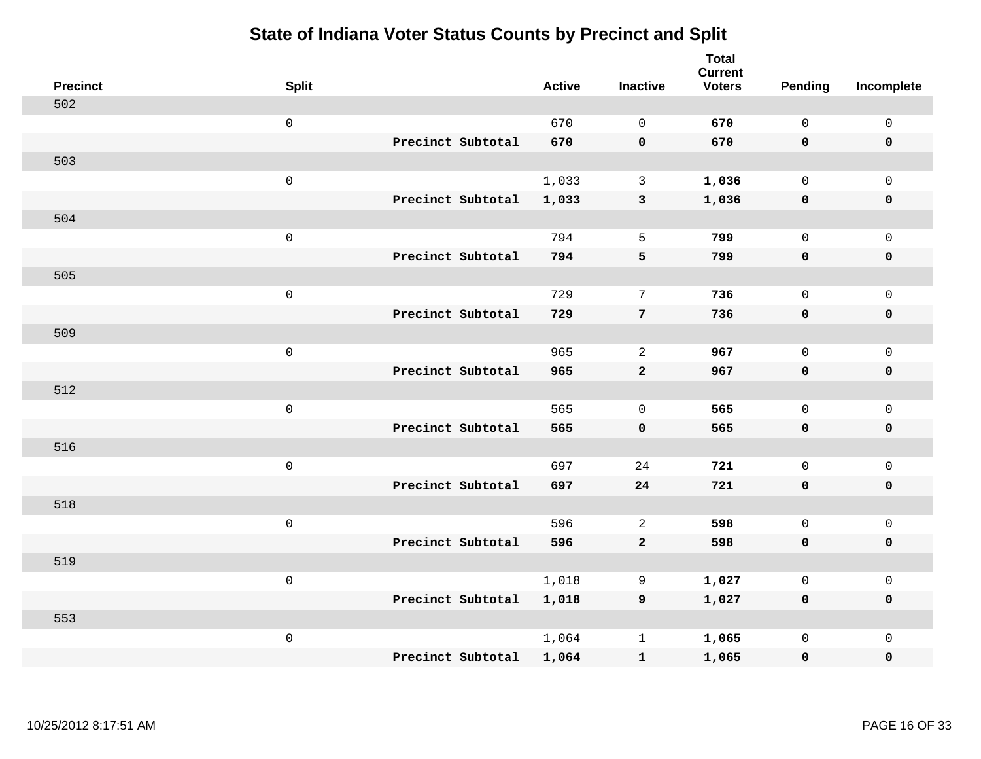| <b>Precinct</b> | <b>Split</b>        |                   | <b>Active</b> | <b>Inactive</b> | <b>Total</b><br><b>Current</b><br><b>Voters</b> | <b>Pending</b> | Incomplete          |
|-----------------|---------------------|-------------------|---------------|-----------------|-------------------------------------------------|----------------|---------------------|
| 502             |                     |                   |               |                 |                                                 |                |                     |
|                 | $\mathsf{O}$        |                   | 670           | $\Omega$        | 670                                             | $\mathbf 0$    | $\mathsf 0$         |
|                 |                     | Precinct Subtotal | 670           | $\mathbf 0$     | 670                                             | $\mathbf 0$    | $\mathbf 0$         |
| 503             |                     |                   |               |                 |                                                 |                |                     |
|                 | $\mathsf{O}$        |                   | 1,033         | $\mathbf{3}$    | 1,036                                           | $\mathbf{0}$   | $\mathsf{O}$        |
|                 |                     | Precinct Subtotal | 1,033         | $\mathbf{3}$    | 1,036                                           | $\mathbf 0$    | 0                   |
| 504             |                     |                   |               |                 |                                                 |                |                     |
|                 | $\mathsf{O}\xspace$ |                   | 794           | 5               | 799                                             | $\mathsf{O}$   | $\mathsf{O}\xspace$ |
|                 |                     | Precinct Subtotal | 794           | 5               | 799                                             | 0              | $\mathbf 0$         |
| 505             |                     |                   |               |                 |                                                 |                |                     |
|                 | $\mathsf{O}\xspace$ |                   | 729           | 7               | 736                                             | $\mathbf 0$    | $\mathsf{O}$        |
|                 |                     | Precinct Subtotal | 729           | 7               | 736                                             | 0              | 0                   |
| 509             |                     |                   |               |                 |                                                 |                |                     |
|                 | $\mathbf 0$         |                   | 965           | $\overline{a}$  | 967                                             | $\mathbf 0$    | $\mathsf{O}\xspace$ |
|                 |                     | Precinct Subtotal | 965           | $\mathbf{2}$    | 967                                             | 0              | 0                   |
| 512             |                     |                   |               |                 |                                                 |                |                     |
|                 | $\mathsf{O}\xspace$ |                   | 565           | $\mathbf 0$     | 565                                             | $\mathbf 0$    | $\mathsf{O}$        |
|                 |                     | Precinct Subtotal | 565           | $\mathbf 0$     | 565                                             | 0              | 0                   |
| 516             |                     |                   |               |                 |                                                 |                |                     |
|                 | $\mathbf 0$         |                   | 697           | 24              | 721                                             | $\mathbf 0$    | $\mathsf{O}$        |
|                 |                     | Precinct Subtotal | 697           | 24              | 721                                             | 0              | 0                   |
| 518             |                     |                   |               |                 |                                                 |                |                     |
|                 | $\mathbf 0$         |                   | 596           | 2               | 598                                             | $\mathbf 0$    | $\mathsf{O}\xspace$ |
|                 |                     | Precinct Subtotal | 596           | $\mathbf{2}$    | 598                                             | 0              | 0                   |
| 519             |                     |                   |               |                 |                                                 |                |                     |
|                 | $\mathbf 0$         |                   | 1,018         | 9               | 1,027                                           | $\mathbf 0$    | $\mathsf{O}$        |
|                 |                     | Precinct Subtotal | 1,018         | 9               | 1,027                                           | 0              | 0                   |
| 553             |                     |                   |               |                 |                                                 |                |                     |
|                 | $\mathbf 0$         |                   | 1,064         | $\mathbf 1$     | 1,065                                           | $\mathsf{O}$   | $\mathsf{O}$        |
|                 |                     | Precinct Subtotal | 1,064         | ${\bf 1}$       | 1,065                                           | 0              | 0                   |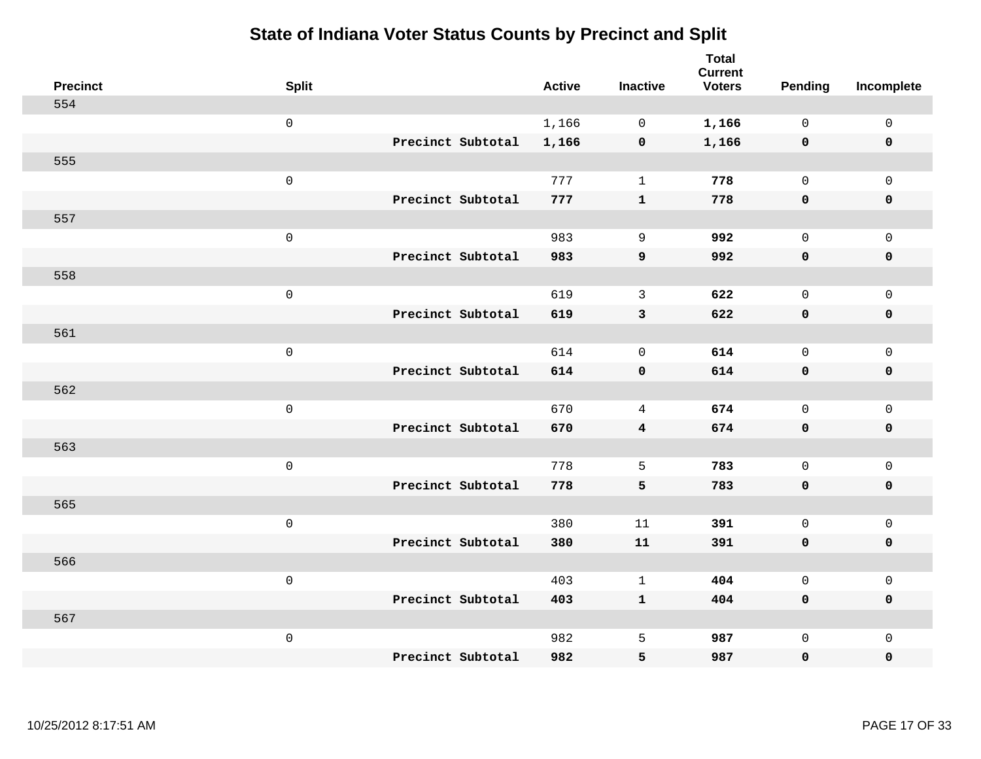| <b>Precinct</b> | <b>Split</b>        |                   | <b>Active</b> | <b>Inactive</b> | <b>Total</b><br><b>Current</b><br><b>Voters</b> | Pending      | Incomplete          |
|-----------------|---------------------|-------------------|---------------|-----------------|-------------------------------------------------|--------------|---------------------|
| 554             |                     |                   |               |                 |                                                 |              |                     |
|                 | $\mathsf{O}$        |                   | 1,166         | $\mathbf 0$     | 1,166                                           | $\mathbf 0$  | $\mathsf{O}$        |
|                 |                     | Precinct Subtotal | 1,166         | $\mathbf 0$     | 1,166                                           | $\mathbf 0$  | $\mathbf 0$         |
| 555             |                     |                   |               |                 |                                                 |              |                     |
|                 | $\mathsf{O}\xspace$ |                   | 777           | $\mathbf{1}$    | 778                                             | $\mathbf 0$  | $\mathsf{O}$        |
|                 |                     | Precinct Subtotal | 777           | $\mathbf{1}$    | 778                                             | 0            | 0                   |
| 557             |                     |                   |               |                 |                                                 |              |                     |
|                 | $\mathsf{O}\xspace$ |                   | 983           | 9               | 992                                             | $\mathbf 0$  | $\mathsf{O}\xspace$ |
|                 |                     | Precinct Subtotal | 983           | 9               | 992                                             | 0            | 0                   |
| 558             |                     |                   |               |                 |                                                 |              |                     |
|                 | $\mathsf{O}\xspace$ |                   | 619           | $\mathbf{3}$    | 622                                             | $\mathbf 0$  | $\mathsf{O}\xspace$ |
|                 |                     | Precinct Subtotal | 619           | $\mathbf{3}$    | 622                                             | 0            | 0                   |
| 561             |                     |                   |               |                 |                                                 |              |                     |
|                 | $\mathsf{O}\xspace$ |                   | 614           | $\mathbf 0$     | 614                                             | $\mathbf{0}$ | $\mathbf 0$         |
|                 |                     | Precinct Subtotal | 614           | $\mathbf 0$     | 614                                             | 0            | 0                   |
| 562             |                     |                   |               |                 |                                                 |              |                     |
|                 | $\mathsf{O}\xspace$ |                   | 670           | 4               | 674                                             | $\mathbf 0$  | $\mathsf{O}$        |
|                 |                     | Precinct Subtotal | 670           | $\overline{4}$  | 674                                             | 0            | 0                   |
| 563             |                     |                   |               |                 |                                                 |              |                     |
|                 | $\mathsf{O}\xspace$ |                   | 778           | 5               | 783                                             | $\mathsf{O}$ | $\mathsf{O}$        |
|                 |                     | Precinct Subtotal | 778           | 5               | 783                                             | 0            | 0                   |
| 565             |                     |                   |               |                 |                                                 |              |                     |
|                 | $\mathsf{O}\xspace$ |                   | 380           | 11              | 391                                             | $\mathsf{O}$ | $\mathsf{O}\xspace$ |
|                 |                     | Precinct Subtotal | 380           | 11              | 391                                             | 0            | 0                   |
| 566             |                     |                   |               |                 |                                                 |              |                     |
|                 | $\mathsf{O}\xspace$ |                   | 403           | $\mathbf{1}$    | 404                                             | $\mathbf{0}$ | $\mathbf 0$         |
|                 |                     | Precinct Subtotal | 403           | $\mathbf{1}$    | 404                                             | 0            | 0                   |
| 567             |                     |                   |               |                 |                                                 |              |                     |
|                 | $\mathsf{O}\xspace$ |                   | 982           | 5               | 987                                             | $\mathsf{O}$ | $\mathsf{O}$        |
|                 |                     | Precinct Subtotal | 982           | 5               | 987                                             | 0            | $\mathbf 0$         |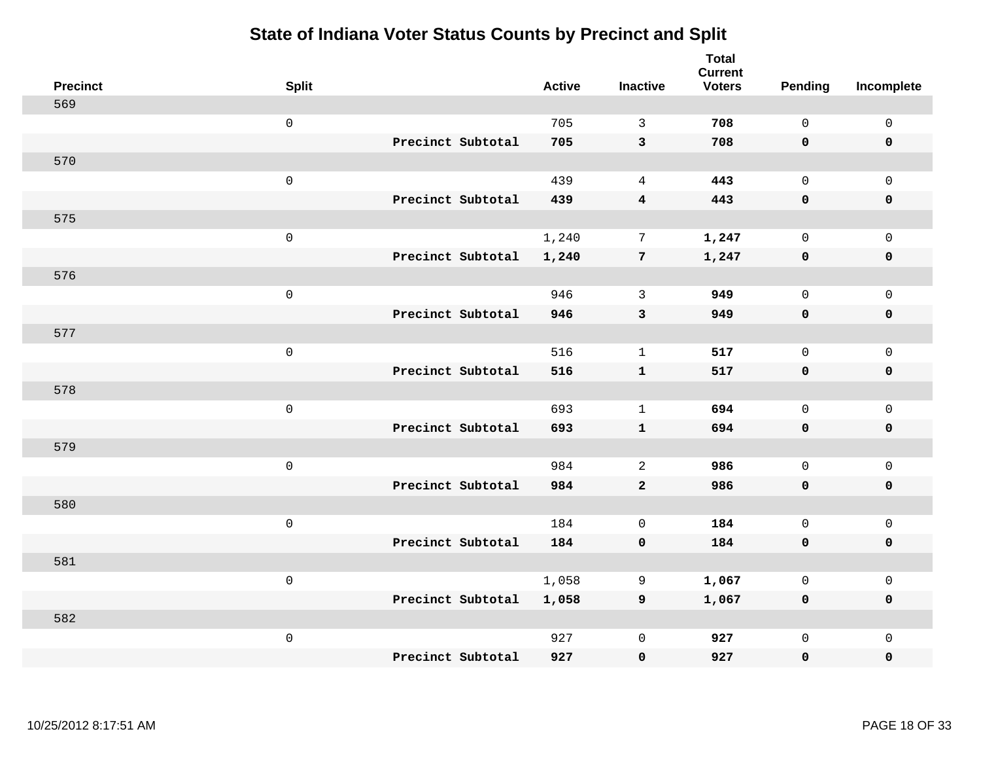| <b>Precinct</b> | <b>Split</b>        |                   | <b>Active</b> | <b>Inactive</b>  | <b>Total</b><br><b>Current</b><br><b>Voters</b> | Pending      | Incomplete  |
|-----------------|---------------------|-------------------|---------------|------------------|-------------------------------------------------|--------------|-------------|
| 569             |                     |                   |               |                  |                                                 |              |             |
|                 | $\mathsf{O}\xspace$ |                   | 705           | $\overline{3}$   | 708                                             | $\Omega$     | $\mathbf 0$ |
|                 |                     | Precinct Subtotal | 705           | $\mathbf{3}$     | 708                                             | $\mathbf 0$  | $\mathbf 0$ |
| 570             |                     |                   |               |                  |                                                 |              |             |
|                 | $\mathsf 0$         |                   | 439           | $\overline{4}$   | 443                                             | $\mathbf 0$  | $\mathbf 0$ |
|                 |                     | Precinct Subtotal | 439           | $\boldsymbol{4}$ | 443                                             | $\mathbf 0$  | $\pmb{0}$   |
| 575             |                     |                   |               |                  |                                                 |              |             |
|                 | $\mathsf 0$         |                   | 1,240         | $7\phantom{.0}$  | 1,247                                           | $\mathbf 0$  | $\mathbf 0$ |
|                 |                     | Precinct Subtotal | 1,240         | $7\phantom{.0}$  | 1,247                                           | $\mathbf 0$  | $\mathbf 0$ |
| 576             |                     |                   |               |                  |                                                 |              |             |
|                 | $\mathsf 0$         |                   | 946           | 3                | 949                                             | $\mathbf 0$  | $\mathbf 0$ |
|                 |                     | Precinct Subtotal | 946           | $\mathbf{3}$     | 949                                             | $\mathbf 0$  | $\mathbf 0$ |
| 577             |                     |                   |               |                  |                                                 |              |             |
|                 | $\mathsf 0$         |                   | 516           | $\mathbf{1}$     | 517                                             | $\mathbf 0$  | $\mathsf 0$ |
|                 |                     | Precinct Subtotal | 516           | $\mathbf{1}$     | 517                                             | $\mathbf 0$  | $\mathbf 0$ |
| 578             |                     |                   |               |                  |                                                 |              |             |
|                 | $\mathsf 0$         |                   | 693           | $\mathbf{1}$     | 694                                             | $\mathbf 0$  | $\mathbf 0$ |
|                 |                     | Precinct Subtotal | 693           | $\mathbf{1}$     | 694                                             | $\mathbf 0$  | $\mathbf 0$ |
| 579             |                     |                   |               |                  |                                                 |              |             |
|                 | $\mathbf 0$         |                   | 984           | 2                | 986                                             | $\mathbf 0$  | $\mathbf 0$ |
|                 |                     | Precinct Subtotal | 984           | $\overline{a}$   | 986                                             | $\mathbf 0$  | 0           |
| 580             |                     |                   |               |                  |                                                 |              |             |
|                 | $\mathsf 0$         |                   | 184           | $\mathbf 0$      | 184                                             | $\mathbf 0$  | $\mathsf 0$ |
|                 |                     | Precinct Subtotal | 184           | $\mathbf 0$      | 184                                             | $\mathbf 0$  | $\pmb{0}$   |
| 581             |                     |                   |               |                  |                                                 |              |             |
|                 | $\mathbf 0$         |                   | 1,058         | 9                | 1,067                                           | $\mathbf 0$  | $\mathbf 0$ |
|                 |                     | Precinct Subtotal | 1,058         | 9                | 1,067                                           | $\mathbf 0$  | $\mathbf 0$ |
| 582             |                     |                   |               |                  |                                                 |              |             |
|                 | $\mathbf 0$         |                   | 927           | $\mathsf 0$      | 927                                             | $\mathsf{O}$ | $\mathbf 0$ |
|                 |                     | Precinct Subtotal | 927           | $\mathbf 0$      | 927                                             | 0            | 0           |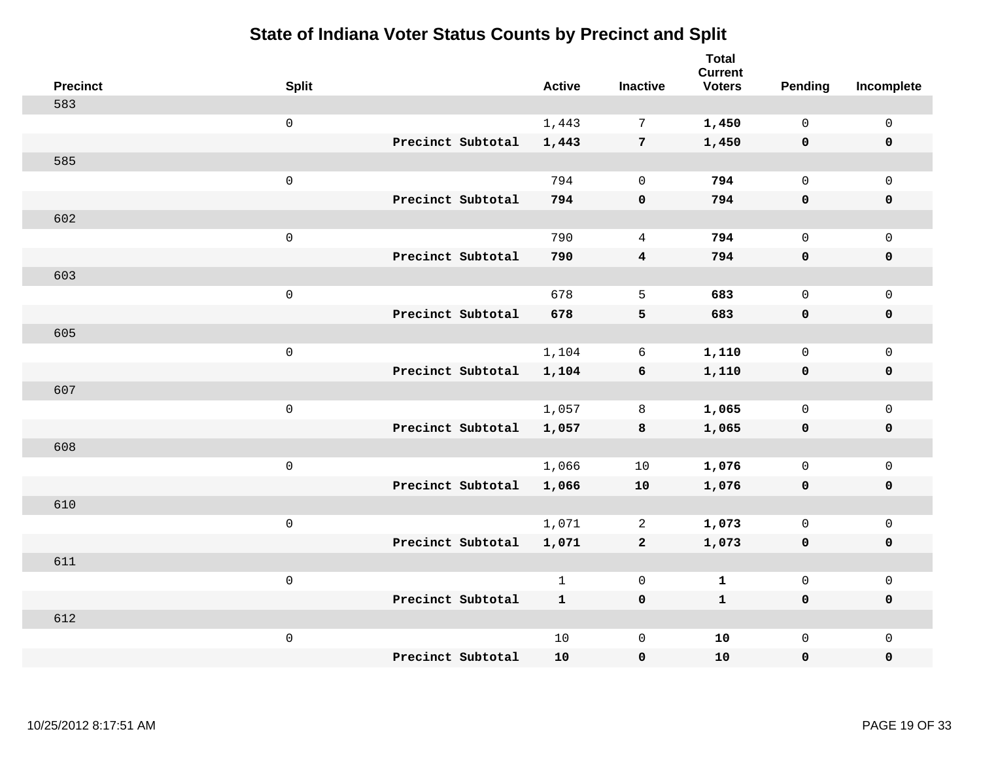| <b>Precinct</b> | <b>Split</b>        |                   | <b>Active</b> | <b>Inactive</b> | <b>Total</b><br><b>Current</b><br><b>Voters</b> | Pending      | Incomplete          |
|-----------------|---------------------|-------------------|---------------|-----------------|-------------------------------------------------|--------------|---------------------|
| 583             |                     |                   |               |                 |                                                 |              |                     |
|                 | $\mathsf{O}\xspace$ |                   | 1,443         | 7               | 1,450                                           | $\mathbf 0$  | $\mathsf{O}\xspace$ |
|                 |                     | Precinct Subtotal | 1,443         | $7\phantom{.0}$ | 1,450                                           | $\mathbf 0$  | $\pmb{0}$           |
| 585             |                     |                   |               |                 |                                                 |              |                     |
|                 | $\mathsf 0$         |                   | 794           | $\mathbf 0$     | 794                                             | $\mathbf 0$  | $\mathbf{0}$        |
|                 |                     | Precinct Subtotal | 794           | $\pmb{0}$       | 794                                             | $\mathbf 0$  | $\pmb{0}$           |
| 602             |                     |                   |               |                 |                                                 |              |                     |
|                 | $\mathsf 0$         |                   | 790           | $\overline{4}$  | 794                                             | $\mathbf 0$  | $\mathsf{O}$        |
|                 |                     | Precinct Subtotal | 790           | $\overline{4}$  | 794                                             | 0            | 0                   |
| 603             |                     |                   |               |                 |                                                 |              |                     |
|                 | $\mathbf 0$         |                   | 678           | 5               | 683                                             | $\mathbf 0$  | $\mathsf{O}\xspace$ |
|                 |                     | Precinct Subtotal | 678           | 5               | 683                                             | $\mathbf 0$  | 0                   |
| 605             |                     |                   |               |                 |                                                 |              |                     |
|                 | $\mathbf 0$         |                   | 1,104         | 6               | 1,110                                           | $\mathbf 0$  | $\mathsf{O}\xspace$ |
|                 |                     | Precinct Subtotal | 1,104         | 6               | 1,110                                           | 0            | 0                   |
| 607             |                     |                   |               |                 |                                                 |              |                     |
|                 | $\mathsf{O}\xspace$ |                   | 1,057         | 8               | 1,065                                           | $\mathbf 0$  | $\mathsf{O}\xspace$ |
|                 |                     | Precinct Subtotal | 1,057         | 8               | 1,065                                           | $\mathbf 0$  | 0                   |
| 608             |                     |                   |               |                 |                                                 |              |                     |
|                 | $\mathbf 0$         |                   | 1,066         | 10              | 1,076                                           | $\mathbf 0$  | $\mathsf{O}$        |
|                 |                     | Precinct Subtotal | 1,066         | ${\bf 10}$      | 1,076                                           | $\mathbf 0$  | 0                   |
| 610             |                     |                   |               |                 |                                                 |              |                     |
|                 | $\mathsf{O}\xspace$ |                   | 1,071         | 2               | 1,073                                           | $\mathbf 0$  | $\mathsf{O}\xspace$ |
|                 |                     | Precinct Subtotal | 1,071         | $\mathbf{2}$    | 1,073                                           | 0            | 0                   |
| 611             |                     |                   |               |                 |                                                 |              |                     |
|                 | $\mathsf 0$         |                   | $\mathbf{1}$  | $\mathbf 0$     | $\mathbf{1}$                                    | $\mathbf 0$  | $\mathsf{O}\xspace$ |
|                 |                     | Precinct Subtotal | $\mathbf{1}$  | $\mathbf 0$     | $\mathbf 1$                                     | 0            | 0                   |
| 612             |                     |                   |               |                 |                                                 |              |                     |
|                 | $\mathbf 0$         |                   | 10            | $\mathbf 0$     | 10                                              | $\mathsf{O}$ | $\mathsf{O}$        |
|                 |                     | Precinct Subtotal | 10            | $\pmb{0}$       | 10                                              | 0            | $\pmb{0}$           |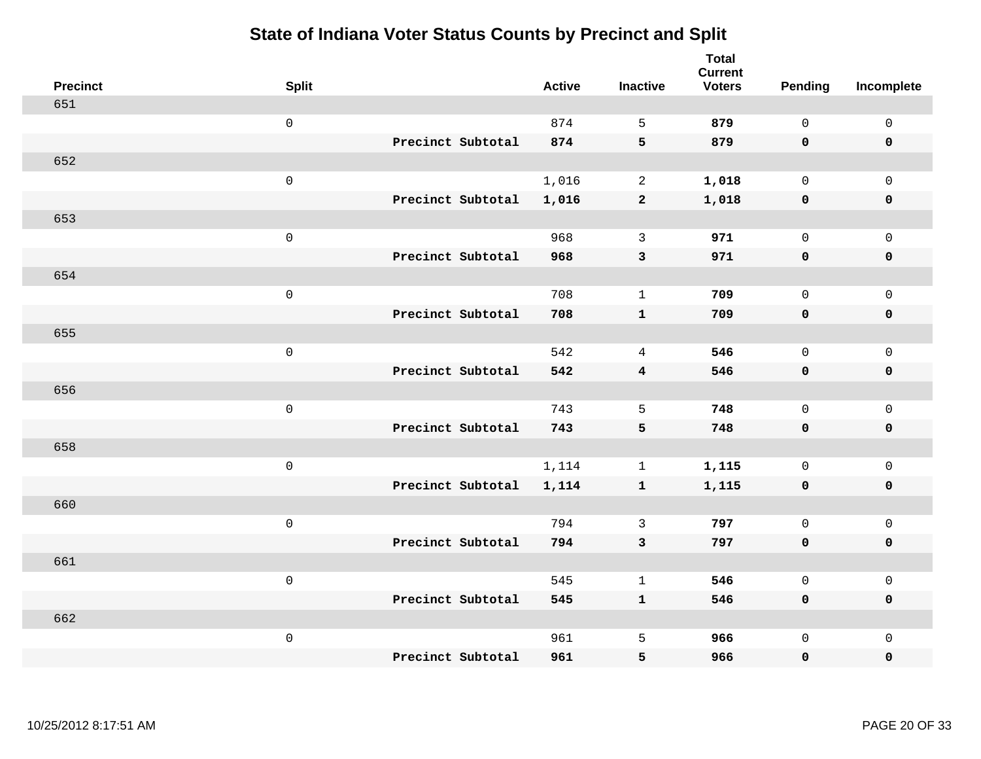| <b>Precinct</b> | <b>Split</b>        |                   | <b>Active</b> | <b>Inactive</b> | <b>Total</b><br><b>Current</b><br><b>Voters</b> | <b>Pending</b> | Incomplete          |
|-----------------|---------------------|-------------------|---------------|-----------------|-------------------------------------------------|----------------|---------------------|
| 651             |                     |                   |               |                 |                                                 |                |                     |
|                 | $\mathsf{O}\xspace$ |                   | 874           | 5               | 879                                             | $\mathbf 0$    | $\mathsf{O}\xspace$ |
|                 |                     | Precinct Subtotal | 874           | 5               | 879                                             | $\mathbf 0$    | $\mathbf 0$         |
| 652             |                     |                   |               |                 |                                                 |                |                     |
|                 | $\mathsf{O}\xspace$ |                   | 1,016         | $\overline{2}$  | 1,018                                           | $\mathbf{0}$   | $\mathsf{O}$        |
|                 |                     | Precinct Subtotal | 1,016         | $\mathbf{2}$    | 1,018                                           | $\mathbf 0$    | 0                   |
| 653             |                     |                   |               |                 |                                                 |                |                     |
|                 | $\mathsf{O}\xspace$ |                   | 968           | 3               | 971                                             | $\mathbf 0$    | $\mathsf{O}\xspace$ |
|                 |                     | Precinct Subtotal | 968           | 3               | 971                                             | 0              | $\pmb{0}$           |
| 654             |                     |                   |               |                 |                                                 |                |                     |
|                 | $\mathsf{O}\xspace$ |                   | 708           | $\mathbf{1}$    | 709                                             | $\mathbf 0$    | $\mathsf{O}$        |
|                 |                     | Precinct Subtotal | 708           | $\mathbf{1}$    | 709                                             | $\mathbf 0$    | 0                   |
| 655             |                     |                   |               |                 |                                                 |                |                     |
|                 | $\mathsf{O}\xspace$ |                   | 542           | $\overline{4}$  | 546                                             | $\mathbf 0$    | $\mathsf{O}\xspace$ |
|                 |                     | Precinct Subtotal | 542           | $\overline{4}$  | 546                                             | $\mathbf 0$    | 0                   |
| 656             |                     |                   |               |                 |                                                 |                |                     |
|                 | $\mathsf{O}\xspace$ |                   | 743           | 5               | 748                                             | $\mathbf 0$    | $\mathsf{O}\xspace$ |
|                 |                     | Precinct Subtotal | 743           | 5               | 748                                             | 0              | 0                   |
| 658             |                     |                   |               |                 |                                                 |                |                     |
|                 | $\mathsf{O}\xspace$ |                   | 1,114         | $\mathbf{1}$    | 1,115                                           | $\mathbf 0$    | $\mathsf{O}$        |
|                 |                     | Precinct Subtotal | 1,114         | $\mathbf{1}$    | 1,115                                           | 0              | 0                   |
| 660             |                     |                   |               |                 |                                                 |                |                     |
|                 | $\mathsf{O}\xspace$ |                   | 794           | 3               | 797                                             | $\mathbf{0}$   | $\mathsf{O}\xspace$ |
|                 |                     | Precinct Subtotal | 794           | 3               | 797                                             | 0              | 0                   |
| 661             |                     |                   |               |                 |                                                 |                |                     |
|                 | $\mathsf 0$         |                   | 545           | $\mathbf 1$     | 546                                             | $\mathbf 0$    | $\mathsf{O}$        |
|                 |                     | Precinct Subtotal | 545           | $\mathbf{1}$    | 546                                             | 0              | 0                   |
| 662             |                     |                   |               |                 |                                                 |                |                     |
|                 | $\mathsf{O}\xspace$ |                   | 961           | 5               | 966                                             | $\mathsf{O}$   | $\mathsf{O}$        |
|                 |                     | Precinct Subtotal | 961           | 5               | 966                                             | 0              | 0                   |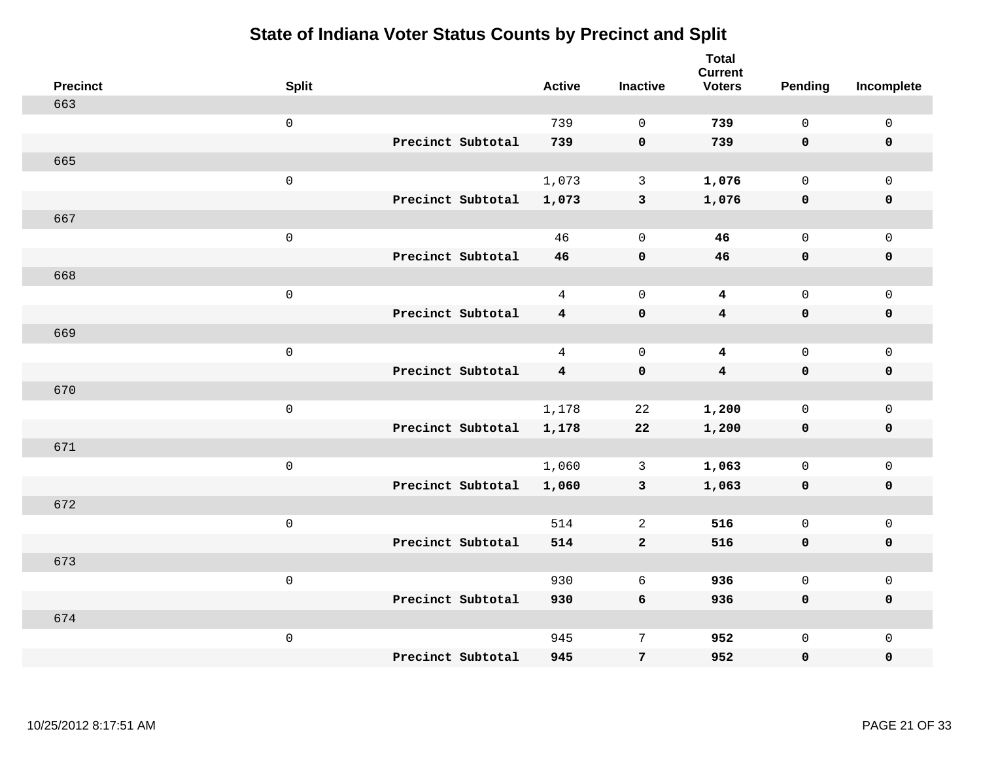| <b>Precinct</b> | <b>Split</b>        |                   | <b>Active</b>  | <b>Inactive</b> | <b>Total</b><br><b>Current</b><br><b>Voters</b> | <b>Pending</b> | Incomplete          |
|-----------------|---------------------|-------------------|----------------|-----------------|-------------------------------------------------|----------------|---------------------|
| 663             |                     |                   |                |                 |                                                 |                |                     |
|                 | $\mathsf{O}$        |                   | 739            | $\Omega$        | 739                                             | $\mathbf 0$    | $\mathsf{O}\xspace$ |
|                 |                     | Precinct Subtotal | 739            | $\mathbf 0$     | 739                                             | $\mathbf 0$    | $\mathbf 0$         |
| 665             |                     |                   |                |                 |                                                 |                |                     |
|                 | $\mathsf{O}$        |                   | 1,073          | $\mathbf{3}$    | 1,076                                           | $\mathbf{0}$   | $\mathsf{O}$        |
|                 |                     | Precinct Subtotal | 1,073          | $\mathbf{3}$    | 1,076                                           | $\mathbf 0$    | 0                   |
| 667             |                     |                   |                |                 |                                                 |                |                     |
|                 | $\mathsf{O}\xspace$ |                   | 46             | $\mathbf 0$     | 46                                              | $\mathbf{0}$   | $\mathsf{O}\xspace$ |
|                 |                     | Precinct Subtotal | 46             | $\mathbf 0$     | 46                                              | 0              | $\pmb{0}$           |
| 668             |                     |                   |                |                 |                                                 |                |                     |
|                 | $\mathsf{O}\xspace$ |                   | $\overline{4}$ | $\mathbf 0$     | $\overline{\mathbf{4}}$                         | $\mathbf 0$    | $\mathsf{O}$        |
|                 |                     | Precinct Subtotal | $\overline{4}$ | $\pmb{0}$       | $\overline{\mathbf{4}}$                         | 0              | 0                   |
| 669             |                     |                   |                |                 |                                                 |                |                     |
|                 | $\mathbf 0$         |                   | $\overline{4}$ | $\mathbf 0$     | $\overline{\mathbf{4}}$                         | $\mathbf 0$    | $\mathsf{O}\xspace$ |
|                 |                     | Precinct Subtotal | 4              | $\mathbf 0$     | $\overline{\mathbf{4}}$                         | 0              | 0                   |
| 670             |                     |                   |                |                 |                                                 |                |                     |
|                 | $\mathbf 0$         |                   | 1,178          | 22              | 1,200                                           | $\mathbf 0$    | $\mathsf{O}\xspace$ |
|                 |                     | Precinct Subtotal | 1,178          | 22              | 1,200                                           | $\mathbf 0$    | 0                   |
| 671             |                     |                   |                |                 |                                                 |                |                     |
|                 | $\mathbf 0$         |                   | 1,060          | 3               | 1,063                                           | $\mathbf 0$    | $\mathsf{O}$        |
|                 |                     | Precinct Subtotal | 1,060          | $\mathbf{3}$    | 1,063                                           | 0              | 0                   |
| 672             |                     |                   |                |                 |                                                 |                |                     |
|                 | $\mathbf 0$         |                   | 514            | 2               | 516                                             | $\mathbf 0$    | $\mathsf{O}\xspace$ |
|                 |                     | Precinct Subtotal | 514            | $\mathbf{2}$    | 516                                             | 0              | 0                   |
| 673             |                     |                   |                |                 |                                                 |                |                     |
|                 | $\mathbf 0$         |                   | 930            | 6               | 936                                             | $\mathbf 0$    | $\mathsf{O}$        |
|                 |                     | Precinct Subtotal | 930            | 6               | 936                                             | 0              | 0                   |
| 674             |                     |                   |                |                 |                                                 |                |                     |
|                 | $\mathbf 0$         |                   | 945            | 7               | 952                                             | $\mathsf{O}$   | $\mathsf{O}$        |
|                 |                     | Precinct Subtotal | 945            | 7               | 952                                             | 0              | 0                   |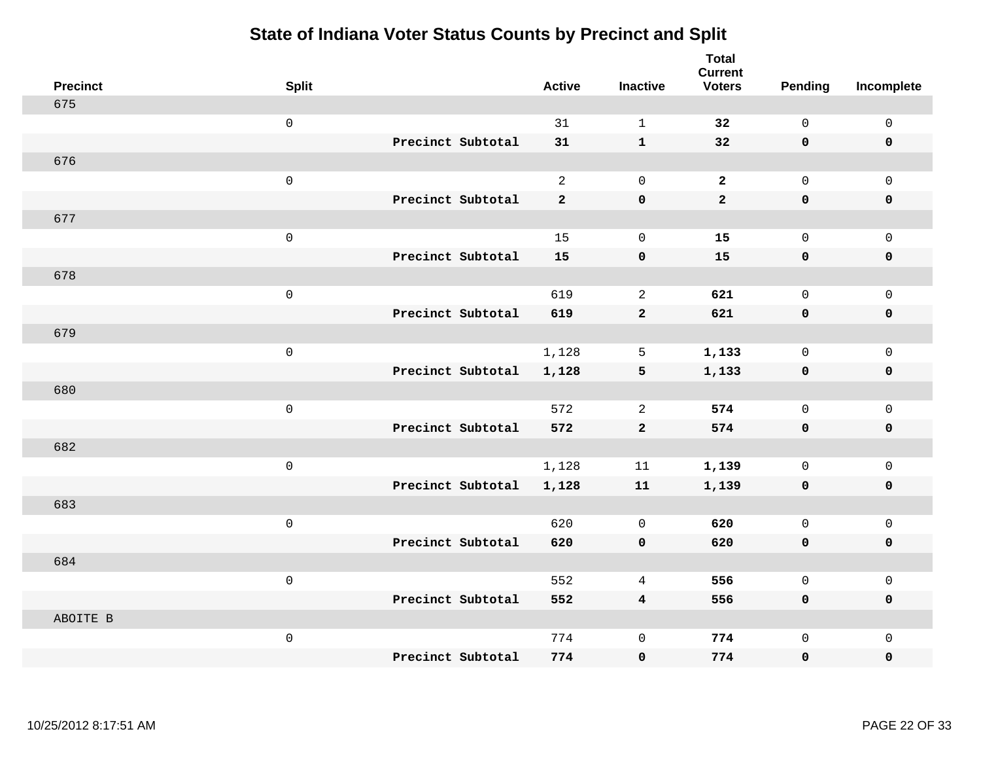| <b>Precinct</b> | <b>Split</b>        |                   | <b>Active</b>  | <b>Inactive</b>         | <b>Total</b><br><b>Current</b><br><b>Voters</b> | <b>Pending</b> | Incomplete   |
|-----------------|---------------------|-------------------|----------------|-------------------------|-------------------------------------------------|----------------|--------------|
| 675             |                     |                   |                |                         |                                                 |                |              |
|                 | $\mathsf{O}\xspace$ |                   | 31             | $\mathbf 1$             | 32                                              | $\mathsf{O}$   | $\mathsf 0$  |
|                 |                     | Precinct Subtotal | 31             | $\mathbf{1}$            | 32                                              | $\mathbf 0$    | $\mathbf 0$  |
| 676             |                     |                   |                |                         |                                                 |                |              |
|                 | $\mbox{O}$          |                   | 2              | $\mathbf 0$             | $\overline{2}$                                  | $\mathbf 0$    | $\mathbf{0}$ |
|                 |                     | Precinct Subtotal | $\overline{2}$ | $\mathbf 0$             | $\overline{2}$                                  | $\mathbf 0$    | 0            |
| 677             |                     |                   |                |                         |                                                 |                |              |
|                 | $\mathsf{O}\xspace$ |                   | 15             | $\mathbf 0$             | 15                                              | $\mathsf{O}$   | $\mathsf 0$  |
|                 |                     | Precinct Subtotal | 15             | $\pmb{\mathsf{O}}$      | 15                                              | $\mathbf 0$    | $\mathbf 0$  |
| 678             |                     |                   |                |                         |                                                 |                |              |
|                 | $\mathsf 0$         |                   | 619            | $\overline{c}$          | 621                                             | $\mathsf{O}$   | $\mathbf 0$  |
|                 |                     | Precinct Subtotal | 619            | $\mathbf{2}$            | 621                                             | $\mathbf 0$    | $\pmb{0}$    |
| 679             |                     |                   |                |                         |                                                 |                |              |
|                 | $\mathsf{O}\xspace$ |                   | 1,128          | 5                       | 1,133                                           | $\mathbf 0$    | $\mathsf 0$  |
|                 |                     | Precinct Subtotal | 1,128          | 5                       | 1,133                                           | $\mathbf 0$    | $\mathbf 0$  |
| 680             |                     |                   |                |                         |                                                 |                |              |
|                 | $\mathsf 0$         |                   | 572            | $\overline{c}$          | 574                                             | $\mathsf{O}$   | $\mathbf 0$  |
|                 |                     | Precinct Subtotal | 572            | $\mathbf{2}$            | 574                                             | $\mathbf 0$    | $\mathbf 0$  |
| 682             |                     |                   |                |                         |                                                 |                |              |
|                 | $\mathsf 0$         |                   | 1,128          | 11                      | 1,139                                           | $\mathbf 0$    | $\mathsf 0$  |
|                 |                     | Precinct Subtotal | 1,128          | 11                      | 1,139                                           | $\mathbf 0$    | $\mathbf 0$  |
| 683             |                     |                   |                |                         |                                                 |                |              |
|                 | $\mathsf 0$         |                   | 620            | $\mathbf 0$             | 620                                             | $\mathsf{O}$   | $\mathbf 0$  |
|                 |                     | Precinct Subtotal | 620            | $\mathbf 0$             | 620                                             | 0              | 0            |
| 684             |                     |                   |                |                         |                                                 |                |              |
|                 | $\mathbf 0$         |                   | 552            | 4                       | 556                                             | $\mathbf 0$    | $\mathbf 0$  |
|                 |                     | Precinct Subtotal | 552            | $\overline{\mathbf{4}}$ | 556                                             | $\mathbf 0$    | $\mathbf 0$  |
| ABOITE B        | $\mathbf 0$         |                   | 774            | $\mathsf 0$             | 774                                             | $\mathsf{O}$   | $\mathbf 0$  |
|                 |                     | Precinct Subtotal | 774            | $\mathbf 0$             | 774                                             | 0              | 0            |
|                 |                     |                   |                |                         |                                                 |                |              |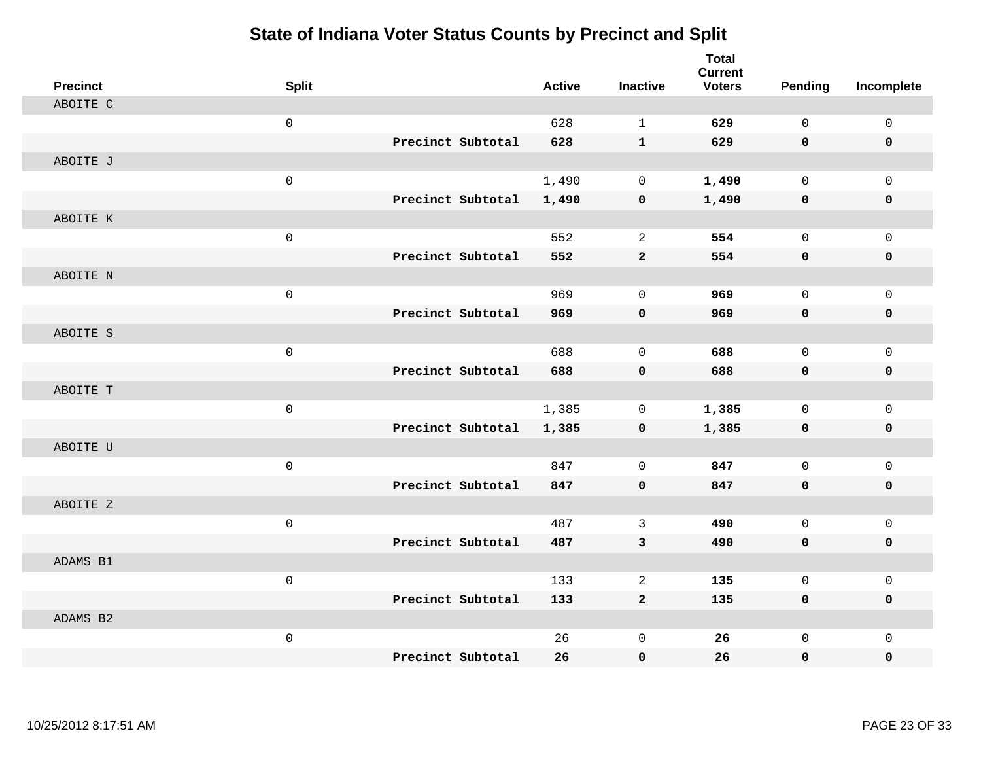| <b>Precinct</b> | <b>Split</b>      | <b>Active</b> | <b>Inactive</b> | <b>Total</b><br><b>Current</b><br><b>Voters</b> | <b>Pending</b>      | Incomplete          |
|-----------------|-------------------|---------------|-----------------|-------------------------------------------------|---------------------|---------------------|
| ABOITE C        |                   |               |                 |                                                 |                     |                     |
|                 | $\mathsf 0$       | 628           | $\mathbf{1}$    | 629                                             | $\mathbf 0$         | $\mathsf{O}$        |
|                 | Precinct Subtotal | 628           | $\mathbf{1}$    | 629                                             | 0                   | 0                   |
| ABOITE J        |                   |               |                 |                                                 |                     |                     |
|                 | $\mathsf 0$       | 1,490         | $\mathbf 0$     | 1,490                                           | $\mathbf 0$         | $\mathsf{O}$        |
|                 | Precinct Subtotal | 1,490         | $\pmb{0}$       | 1,490                                           | $\mathbf 0$         | $\pmb{0}$           |
| ABOITE K        |                   |               |                 |                                                 |                     |                     |
|                 | $\mathsf 0$       | 552           | 2               | 554                                             | $\mathbf 0$         | $\mathsf{O}$        |
|                 | Precinct Subtotal | 552           | $\overline{2}$  | 554                                             | 0                   | 0                   |
| ABOITE N        |                   |               |                 |                                                 |                     |                     |
|                 | $\mathsf 0$       | 969           | $\mathbf 0$     | 969                                             | $\mathbf 0$         | $\mathsf{O}$        |
|                 | Precinct Subtotal | 969           | $\mathbf 0$     | 969                                             | 0                   | 0                   |
| ABOITE S        |                   |               |                 |                                                 |                     |                     |
|                 | $\mathbf 0$       | 688           | $\Omega$        | 688                                             | $\Omega$            | $\mathbf 0$         |
|                 | Precinct Subtotal | 688           | $\mathbf 0$     | 688                                             | 0                   | $\mathbf 0$         |
| ABOITE T        |                   |               |                 |                                                 |                     |                     |
|                 | $\mathbf 0$       | 1,385         | $\mathsf{O}$    | 1,385                                           | $\mathbf 0$         | $\mathsf{O}\xspace$ |
|                 | Precinct Subtotal | 1,385         | 0               | 1,385                                           | $\mathbf 0$         | 0                   |
| ABOITE U        |                   |               |                 |                                                 |                     |                     |
|                 | $\mathsf 0$       | 847           | $\mathbf 0$     | 847                                             | $\mathbf 0$         | $\mathbf 0$         |
|                 | Precinct Subtotal | 847           | $\mathbf 0$     | 847                                             | $\mathbf 0$         | 0                   |
| ABOITE Z        |                   |               |                 |                                                 |                     |                     |
|                 | $\mathsf 0$       | 487           | 3               | 490                                             | $\mathbf 0$         | $\mathsf{O}$        |
|                 | Precinct Subtotal | 487           | 3               | 490                                             | 0                   | 0                   |
| ADAMS B1        |                   |               |                 |                                                 |                     |                     |
|                 | $\mathsf 0$       | 133           | 2               | 135                                             | $\mathsf{O}\xspace$ | $\mathsf{O}\xspace$ |
|                 | Precinct Subtotal | 133           | $\mathbf{2}$    | 135                                             | 0                   | 0                   |
| ADAMS B2        |                   |               |                 |                                                 |                     |                     |
|                 | $\mathsf 0$       | 26            | $\mathsf 0$     | 26                                              | $\mathbf 0$         | $\mathsf{O}$        |
|                 | Precinct Subtotal | 26            | 0               | 26                                              | 0                   | $\mathbf 0$         |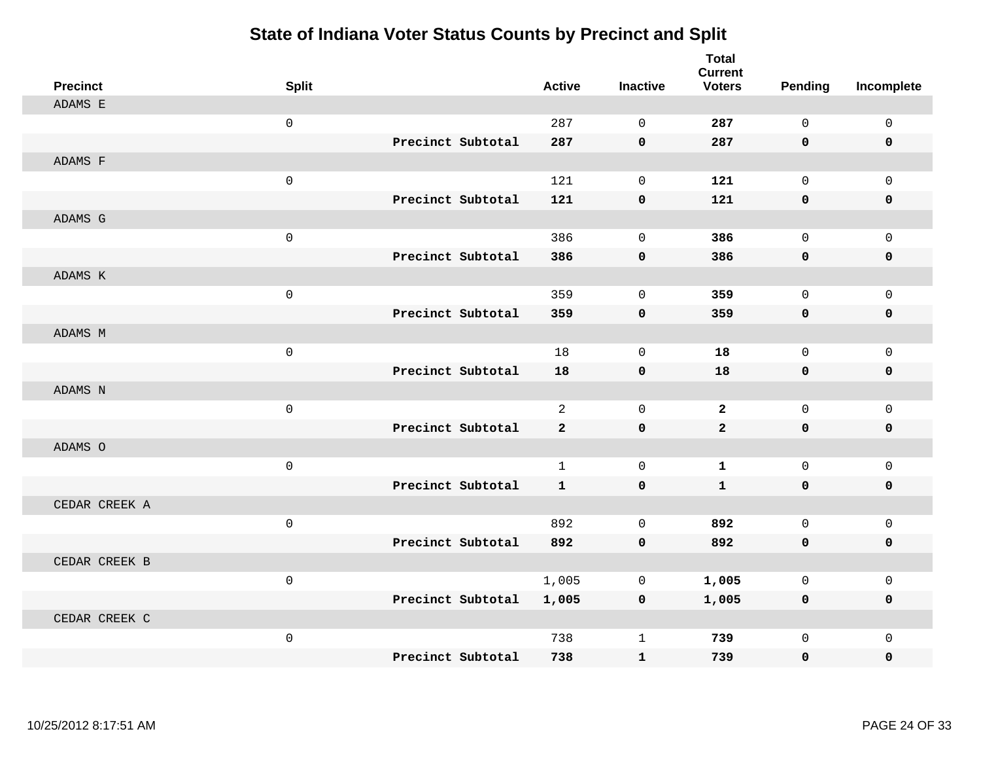| <b>Precinct</b> | <b>Split</b>        |                   | <b>Active</b>  | <b>Inactive</b> | <b>Total</b><br><b>Current</b><br><b>Voters</b> | <b>Pending</b> | Incomplete   |
|-----------------|---------------------|-------------------|----------------|-----------------|-------------------------------------------------|----------------|--------------|
| ADAMS E         |                     |                   |                |                 |                                                 |                |              |
|                 | $\mathsf{O}$        |                   | 287            | $\Omega$        | 287                                             | 0              | $\mathsf{O}$ |
|                 |                     | Precinct Subtotal | 287            | $\mathbf 0$     | 287                                             | 0              | 0            |
| ADAMS F         |                     |                   |                |                 |                                                 |                |              |
|                 | $\mathsf{O}$        |                   | 121            | $\mathbf 0$     | 121                                             | $\mathbf 0$    | $\mathbf{0}$ |
|                 |                     | Precinct Subtotal | 121            | $\pmb{0}$       | 121                                             | 0              | 0            |
| ADAMS G         |                     |                   |                |                 |                                                 |                |              |
|                 | $\mathsf{O}$        |                   | 386            | $\Omega$        | 386                                             | $\mathbf 0$    | $\mathsf{O}$ |
|                 |                     | Precinct Subtotal | 386            | $\mathbf 0$     | 386                                             | 0              | 0            |
| ADAMS K         |                     |                   |                |                 |                                                 |                |              |
|                 | $\mathsf{O}$        |                   | 359            | $\mathbf 0$     | 359                                             | $\mathbf 0$    | $\mathsf{O}$ |
|                 |                     | Precinct Subtotal | 359            | $\mathbf 0$     | 359                                             | 0              | 0            |
| ADAMS M         |                     |                   |                |                 |                                                 |                |              |
|                 | $\mathsf{O}$        |                   | 18             | $\mathbf 0$     | 18                                              | $\mathbf 0$    | $\mathbf 0$  |
|                 |                     | Precinct Subtotal | 18             | $\mathbf 0$     | 18                                              | 0              | 0            |
| ADAMS N         |                     |                   |                |                 |                                                 |                |              |
|                 | $\mathbf 0$         |                   | $\overline{2}$ | $\mathbf 0$     | $\overline{2}$                                  | $\mathbf 0$    | $\mathbf 0$  |
|                 |                     | Precinct Subtotal | $\overline{a}$ | $\mathbf 0$     | $\overline{a}$                                  | 0              | 0            |
| ADAMS O         |                     |                   |                |                 |                                                 |                |              |
|                 | $\mathbf 0$         |                   | $\mathbf{1}$   | $\mathbf 0$     | $\mathbf 1$                                     | 0              | $\mathsf{O}$ |
|                 |                     | Precinct Subtotal | $\mathbf{1}$   | $\mathbf 0$     | $\mathbf{1}$                                    | 0              | $\mathbf 0$  |
| CEDAR CREEK A   |                     |                   |                |                 |                                                 |                |              |
|                 | $\mathsf{O}\xspace$ |                   | 892            | $\mathbf{0}$    | 892                                             | $\mathbf 0$    | $\mathbf 0$  |
|                 |                     | Precinct Subtotal | 892            | $\mathbf 0$     | 892                                             | 0              | 0            |
| CEDAR CREEK B   |                     |                   |                |                 |                                                 |                |              |
|                 | $\mathbf 0$         |                   | 1,005          | $\mathbf 0$     | 1,005                                           | 0              | $\mathbf 0$  |
|                 |                     | Precinct Subtotal | 1,005          | $\mathbf 0$     | 1,005                                           | 0              | 0            |
| CEDAR CREEK C   |                     |                   |                |                 |                                                 |                |              |
|                 | $\mathsf{O}$        |                   | 738            | 1               | 739                                             | 0              | $\mathbf 0$  |
|                 |                     | Precinct Subtotal | 738            | $\mathbf{1}$    | 739                                             | 0              | $\mathbf 0$  |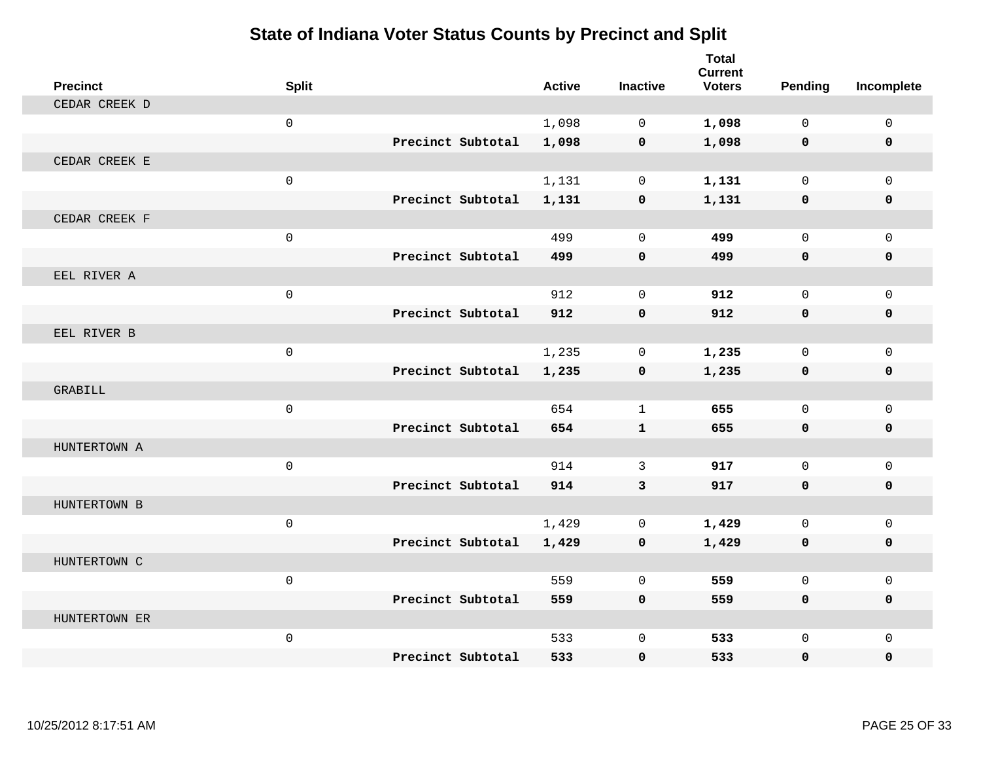| <b>Precinct</b> | <b>Split</b>        |                   | <b>Active</b> | <b>Inactive</b> | <b>Total</b><br><b>Current</b><br><b>Voters</b> | Pending      | Incomplete   |
|-----------------|---------------------|-------------------|---------------|-----------------|-------------------------------------------------|--------------|--------------|
| CEDAR CREEK D   |                     |                   |               |                 |                                                 |              |              |
|                 | $\mathbf 0$         |                   | 1,098         | $\Omega$        | 1,098                                           | $\Omega$     | $\mathsf{O}$ |
|                 |                     | Precinct Subtotal | 1,098         | $\mathbf 0$     | 1,098                                           | $\mathbf 0$  | 0            |
| CEDAR CREEK E   |                     |                   |               |                 |                                                 |              |              |
|                 | $\mathbf 0$         |                   | 1,131         | $\mathbf 0$     | 1,131                                           | $\mathbf 0$  | $\mathbf{0}$ |
|                 |                     | Precinct Subtotal | 1,131         | 0               | 1,131                                           | 0            | 0            |
| CEDAR CREEK F   |                     |                   |               |                 |                                                 |              |              |
|                 | $\mathbf 0$         |                   | 499           | $\Omega$        | 499                                             | $\Omega$     | $\Omega$     |
|                 |                     | Precinct Subtotal | 499           | $\mathbf 0$     | 499                                             | $\mathbf 0$  | 0            |
| EEL RIVER A     |                     |                   |               |                 |                                                 |              |              |
|                 | $\mathsf{O}\xspace$ |                   | 912           | $\mathbf 0$     | 912                                             | $\mathbf 0$  | $\mathbf{0}$ |
|                 |                     | Precinct Subtotal | 912           | $\mathbf 0$     | 912                                             | $\mathbf 0$  | 0            |
| EEL RIVER B     |                     |                   |               |                 |                                                 |              |              |
|                 | $\mathbf{0}$        |                   | 1,235         | $\mathbf 0$     | 1,235                                           | $\mathbf 0$  | $\mathbf 0$  |
|                 |                     | Precinct Subtotal | 1,235         | $\mathbf 0$     | 1,235                                           | $\mathbf 0$  | 0            |
| GRABILL         |                     |                   |               |                 |                                                 |              |              |
|                 | $\mathbf 0$         |                   | 654           | $\mathbf{1}$    | 655                                             | $\Omega$     | $\mathbf 0$  |
|                 |                     | Precinct Subtotal | 654           | $\mathbf{1}$    | 655                                             | $\mathbf 0$  | 0            |
| HUNTERTOWN A    |                     |                   |               |                 |                                                 |              |              |
|                 | $\mathbf 0$         |                   | 914           | 3               | 917                                             | $\mathbf 0$  | $\mathbf 0$  |
|                 |                     | Precinct Subtotal | 914           | 3               | 917                                             | $\mathbf{0}$ | $\mathbf 0$  |
| HUNTERTOWN B    |                     |                   |               |                 |                                                 |              |              |
|                 | $\mathbf 0$         |                   | 1,429         | $\mathbf 0$     | 1,429                                           | $\mathbf 0$  | $\mathbf 0$  |
|                 |                     | Precinct Subtotal | 1,429         | $\mathbf 0$     | 1,429                                           | 0            | 0            |
| HUNTERTOWN C    |                     |                   |               |                 |                                                 |              |              |
|                 | $\mathbf{0}$        |                   | 559           | $\Omega$        | 559                                             | $\Omega$     | $\mathbf 0$  |
|                 |                     | Precinct Subtotal | 559           | $\mathbf 0$     | 559                                             | 0            | $\mathbf 0$  |
| HUNTERTOWN ER   |                     |                   |               |                 |                                                 |              |              |
|                 | $\mathbf 0$         |                   | 533           | $\Omega$        | 533                                             | $\mathbf 0$  | $\mathbf 0$  |
|                 |                     | Precinct Subtotal | 533           | $\mathbf 0$     | 533                                             | 0            | $\mathbf{0}$ |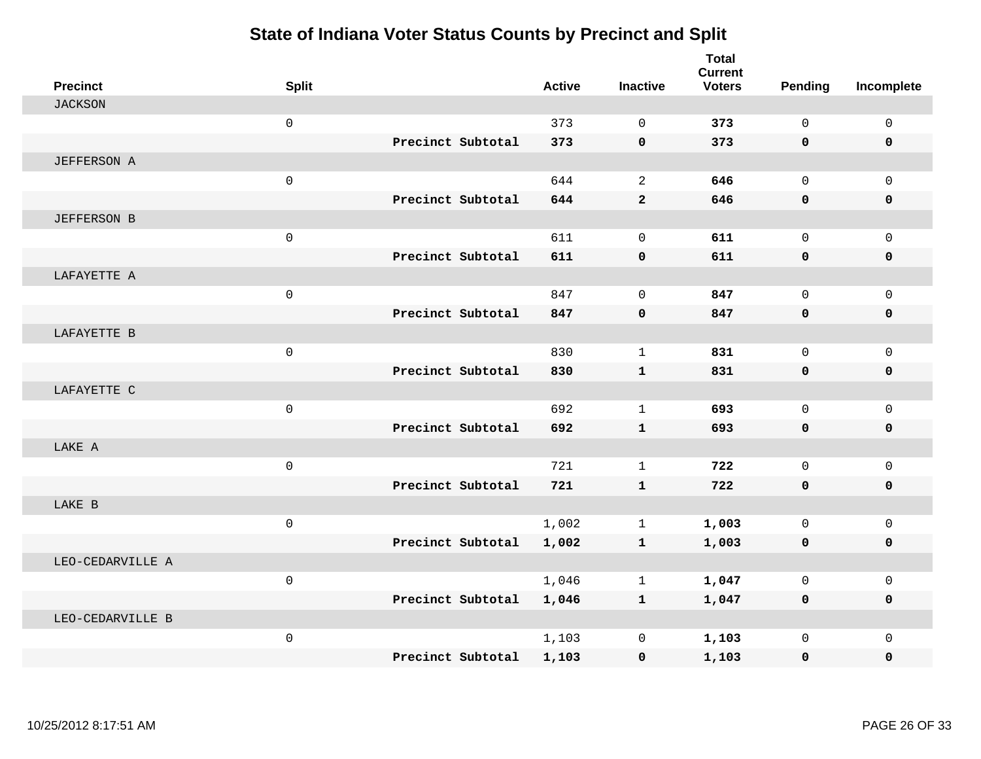| <b>Precinct</b>    | <b>Split</b>        |                   | <b>Active</b> | <b>Inactive</b> | <b>Total</b><br><b>Current</b><br><b>Voters</b> | Pending      | Incomplete   |
|--------------------|---------------------|-------------------|---------------|-----------------|-------------------------------------------------|--------------|--------------|
| <b>JACKSON</b>     |                     |                   |               |                 |                                                 |              |              |
|                    | $\mathbf 0$         |                   | 373           | $\mathbf 0$     | 373                                             | $\mathbf 0$  | $\mathsf{O}$ |
|                    |                     | Precinct Subtotal | 373           | $\mathbf 0$     | 373                                             | $\mathbf{0}$ | $\mathbf 0$  |
| <b>JEFFERSON A</b> |                     |                   |               |                 |                                                 |              |              |
|                    | $\mathbf 0$         |                   | 644           | 2               | 646                                             | $\Omega$     | $\mathbf{0}$ |
|                    |                     | Precinct Subtotal | 644           | $\mathbf{2}$    | 646                                             | 0            | 0            |
| <b>JEFFERSON B</b> |                     |                   |               |                 |                                                 |              |              |
|                    | $\mathbf 0$         |                   | 611           | $\Omega$        | 611                                             | $\Omega$     | $\mathsf{O}$ |
|                    |                     | Precinct Subtotal | 611           | $\mathbf 0$     | 611                                             | 0            | 0            |
| LAFAYETTE A        |                     |                   |               |                 |                                                 |              |              |
|                    | $\mathbf 0$         |                   | 847           | $\mathbf 0$     | 847                                             | $\mathbf 0$  | $\mathbf{0}$ |
|                    |                     | Precinct Subtotal | 847           | $\mathbf 0$     | 847                                             | 0            | 0            |
| LAFAYETTE B        |                     |                   |               |                 |                                                 |              |              |
|                    | $\mathbf 0$         |                   | 830           | $\mathbf{1}$    | 831                                             | $\Omega$     | $\mathbf 0$  |
|                    |                     | Precinct Subtotal | 830           | $\mathbf{1}$    | 831                                             | $\mathbf 0$  | $\mathbf 0$  |
| LAFAYETTE C        |                     |                   |               |                 |                                                 |              |              |
|                    | $\mathsf{O}\xspace$ |                   | 692           | $\mathbf{1}$    | 693                                             | $\mathbf 0$  | $\mathbf 0$  |
|                    |                     | Precinct Subtotal | 692           | $\mathbf{1}$    | 693                                             | 0            | 0            |
| LAKE A             |                     |                   |               |                 |                                                 |              |              |
|                    | $\mathsf 0$         |                   | 721           | $\mathbf{1}$    | 722                                             | $\Omega$     | $\mathbf 0$  |
|                    |                     | Precinct Subtotal | 721           | $\mathbf{1}$    | 722                                             | 0            | $\mathbf 0$  |
| LAKE B             |                     |                   |               |                 |                                                 |              |              |
|                    | $\mathsf{O}\xspace$ |                   | 1,002         | $\mathbf{1}$    | 1,003                                           | $\mathbf 0$  | $\mathbf{0}$ |
|                    |                     | Precinct Subtotal | 1,002         | $\mathbf{1}$    | 1,003                                           | 0            | 0            |
| LEO-CEDARVILLE A   |                     |                   |               |                 |                                                 |              |              |
|                    | $\mathsf{O}$        |                   | 1,046         | 1               | 1,047                                           | $\mathbf 0$  | $\mathbf 0$  |
|                    |                     | Precinct Subtotal | 1,046         | $\mathbf{1}$    | 1,047                                           | 0            | 0            |
| LEO-CEDARVILLE B   |                     |                   |               |                 |                                                 |              |              |
|                    | $\mathbf 0$         |                   | 1,103         | 0               | 1,103                                           | $\Omega$     | $\Omega$     |
|                    |                     | Precinct Subtotal | 1,103         | $\mathbf 0$     | 1,103                                           | 0            | $\mathbf 0$  |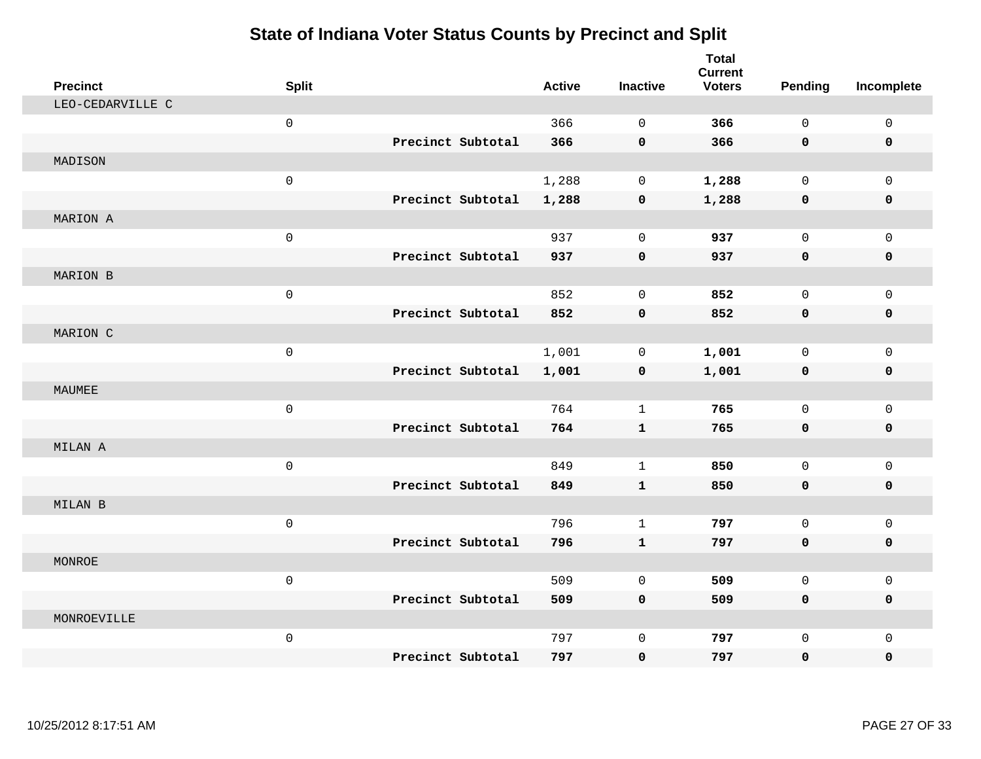| <b>Precinct</b>  | <b>Split</b> |                   | <b>Active</b> | <b>Inactive</b> | <b>Total</b><br><b>Current</b><br><b>Voters</b> | <b>Pending</b>      | Incomplete   |
|------------------|--------------|-------------------|---------------|-----------------|-------------------------------------------------|---------------------|--------------|
| LEO-CEDARVILLE C |              |                   |               |                 |                                                 |                     |              |
|                  | $\mathsf 0$  |                   | 366           | $\mathbf 0$     | 366                                             | $\mathbf 0$         | $\mathsf{O}$ |
|                  |              | Precinct Subtotal | 366           | $\mathbf 0$     | 366                                             | 0                   | 0            |
| MADISON          |              |                   |               |                 |                                                 |                     |              |
|                  | $\mathsf 0$  |                   | 1,288         | $\mathbf 0$     | 1,288                                           | $\mathbf 0$         | $\mathbf 0$  |
|                  |              | Precinct Subtotal | 1,288         | $\pmb{0}$       | 1,288                                           | $\mathbf 0$         | 0            |
| MARION A         |              |                   |               |                 |                                                 |                     |              |
|                  | $\mathsf 0$  |                   | 937           | $\mathbf 0$     | 937                                             | $\mathbf 0$         | $\mathsf{O}$ |
|                  |              | Precinct Subtotal | 937           | $\mathbf 0$     | 937                                             | 0                   | 0            |
| MARION B         |              |                   |               |                 |                                                 |                     |              |
|                  | $\mathsf 0$  |                   | 852           | $\mathbf 0$     | 852                                             | $\mathbf 0$         | $\mathbf 0$  |
|                  |              | Precinct Subtotal | 852           | $\mathbf 0$     | 852                                             | 0                   | 0            |
| MARION C         |              |                   |               |                 |                                                 |                     |              |
|                  | $\mathbf 0$  |                   | 1,001         | $\mathbf 0$     | 1,001                                           | $\Omega$            | $\mathbf 0$  |
|                  |              | Precinct Subtotal | 1,001         | $\mathbf 0$     | 1,001                                           | 0                   | $\mathbf 0$  |
| MAUMEE           |              |                   |               |                 |                                                 |                     |              |
|                  | $\mathsf 0$  |                   | 764           | $\mathbf{1}$    | 765                                             | $\mathbf 0$         | $\mathbf 0$  |
|                  |              | Precinct Subtotal | 764           | $\mathbf{1}$    | 765                                             | $\mathbf 0$         | 0            |
| MILAN A          |              |                   |               |                 |                                                 |                     |              |
|                  | $\mathsf 0$  |                   | 849           | $\mathbf{1}$    | 850                                             | $\mathbf 0$         | $\mathbf 0$  |
|                  |              | Precinct Subtotal | 849           | $\mathbf{1}$    | 850                                             | $\mathbf 0$         | 0            |
| MILAN B          |              |                   |               |                 |                                                 |                     |              |
|                  | $\mathsf 0$  |                   | 796           | $\mathbf{1}$    | 797                                             | $\mathbf 0$         | $\mathsf{O}$ |
|                  |              | Precinct Subtotal | 796           | $\mathbf{1}$    | 797                                             | $\mathbf 0$         | 0            |
| MONROE           |              |                   |               |                 |                                                 |                     |              |
|                  | $\mathsf 0$  |                   | 509           | $\mathbf 0$     | 509                                             | $\mathsf{O}\xspace$ | $\mathbf 0$  |
|                  |              | Precinct Subtotal | 509           | $\mathbf 0$     | 509                                             | 0                   | 0            |
| MONROEVILLE      |              |                   |               |                 |                                                 |                     |              |
|                  | $\mathsf 0$  |                   | 797           | $\mathbf 0$     | 797                                             | $\mathbf 0$         | $\mathbf 0$  |
|                  |              | Precinct Subtotal | 797           | 0               | 797                                             | 0                   | $\mathbf 0$  |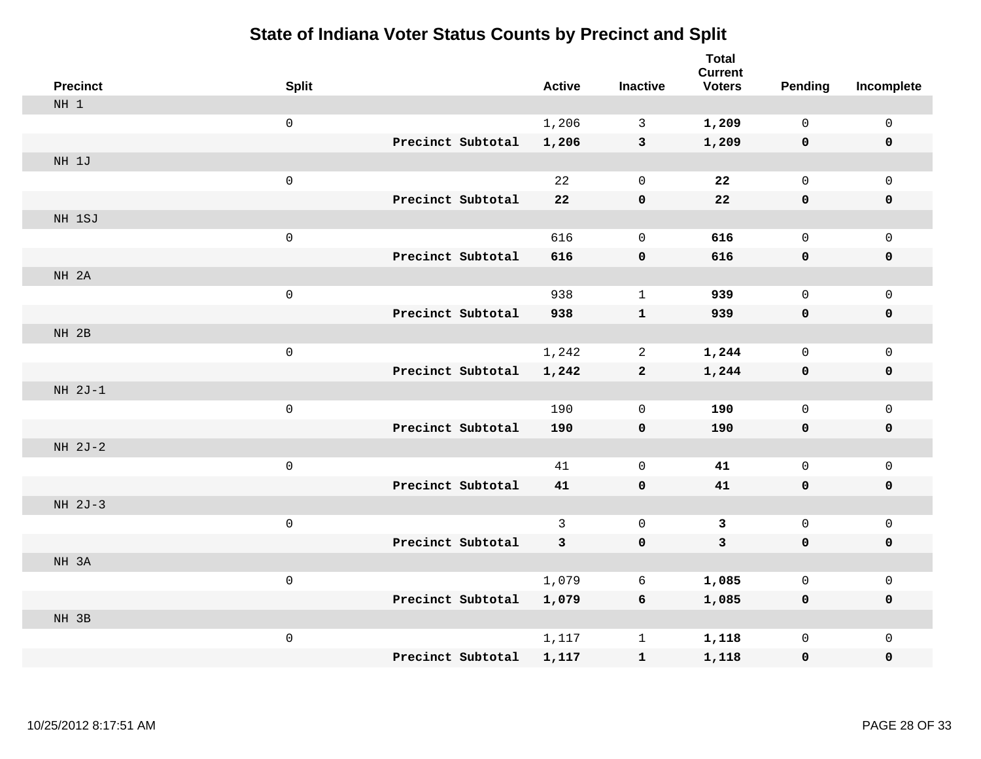| <b>Precinct</b> | <b>Split</b>        |                   | <b>Active</b> | <b>Inactive</b> | <b>Total</b><br><b>Current</b><br><b>Voters</b> | <b>Pending</b> | Incomplete   |
|-----------------|---------------------|-------------------|---------------|-----------------|-------------------------------------------------|----------------|--------------|
| NH 1            |                     |                   |               |                 |                                                 |                |              |
|                 | $\mathsf{O}$        |                   | 1,206         | 3               | 1,209                                           | $\mathbf 0$    | 0            |
|                 |                     | Precinct Subtotal | 1,206         | $\mathbf{3}$    | 1,209                                           | $\mathbf 0$    | $\mathbf 0$  |
| NH 1J           |                     |                   |               |                 |                                                 |                |              |
|                 | $\mathsf 0$         |                   | 22            | $\mathbf 0$     | 22                                              | 0              | $\mathsf{O}$ |
|                 |                     | Precinct Subtotal | 22            | 0               | 22                                              | $\mathbf 0$    | $\pmb{0}$    |
| NH 1SJ          |                     |                   |               |                 |                                                 |                |              |
|                 | $\mathsf 0$         |                   | 616           | $\mathbf 0$     | 616                                             | 0              | $\mathsf{O}$ |
|                 |                     | Precinct Subtotal | 616           | $\mathbf 0$     | 616                                             | $\mathbf 0$    | $\mathbf 0$  |
| NH 2A           |                     |                   |               |                 |                                                 |                |              |
|                 | $\mathsf{O}\xspace$ |                   | 938           | $\mathbf{1}$    | 939                                             | 0              | $\mathbf 0$  |
|                 |                     | Precinct Subtotal | 938           | $\mathbf{1}$    | 939                                             | $\mathbf 0$    | $\mathbf 0$  |
| NH 2B           |                     |                   |               |                 |                                                 |                |              |
|                 | $\mathsf 0$         |                   | 1,242         | 2               | 1,244                                           | 0              | $\mathbf 0$  |
|                 |                     | Precinct Subtotal | 1,242         | $\mathbf{2}$    | 1,244                                           | $\mathbf 0$    | $\mathbf 0$  |
| $NH 2J-1$       |                     |                   |               |                 |                                                 |                |              |
|                 | $\mathsf 0$         |                   | 190           | $\mathbf 0$     | 190                                             | $\mathsf{O}$   | $\mathsf{O}$ |
|                 |                     | Precinct Subtotal | 190           | 0               | 190                                             | $\mathbf 0$    | $\pmb{0}$    |
| NH 2J-2         |                     |                   |               |                 |                                                 |                |              |
|                 | $\mathsf 0$         |                   | 41            | $\mathbf 0$     | 41                                              | $\mathsf{O}$   | $\mathsf{O}$ |
|                 |                     | Precinct Subtotal | 41            | 0               | 41                                              | 0              | $\mathbf 0$  |
| NH 2J-3         |                     |                   |               |                 |                                                 |                |              |
|                 | $\mathsf{O}\xspace$ |                   | 3             | $\mathbf 0$     | $\mathbf{3}$                                    | $\mathsf 0$    | $\mathbf 0$  |
|                 |                     | Precinct Subtotal | 3             | $\pmb{0}$       | $\mathbf{3}$                                    | $\mathbf 0$    | $\mathbf 0$  |
| NH 3A           |                     |                   |               |                 |                                                 |                |              |
|                 | $\mathsf 0$         |                   | 1,079         | 6               | 1,085                                           | 0              | $\mathsf 0$  |
| NH 3B           |                     | Precinct Subtotal | 1,079         | 6               | 1,085                                           | $\mathbf 0$    | $\mathbf 0$  |
|                 | $\mathsf 0$         |                   | 1,117         | $\mathbf 1$     |                                                 | 0              | $\mathsf{O}$ |
|                 |                     | Precinct Subtotal | 1,117         |                 | 1,118                                           |                | $\pmb{0}$    |
|                 |                     |                   |               | $\mathbf{1}$    | 1,118                                           | 0              |              |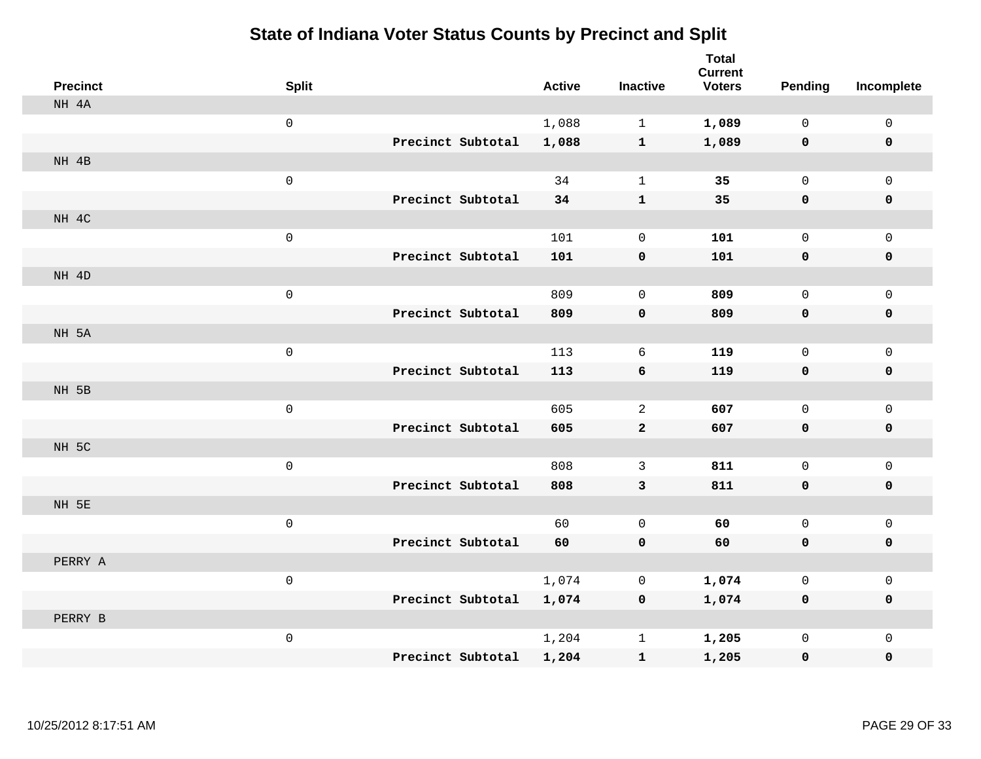| <b>Precinct</b> | <b>Split</b>        |                   |                   | <b>Active</b> | <b>Inactive</b> | <b>Total</b><br><b>Current</b><br><b>Voters</b> | <b>Pending</b> | Incomplete   |
|-----------------|---------------------|-------------------|-------------------|---------------|-----------------|-------------------------------------------------|----------------|--------------|
| NH 4A           |                     |                   |                   |               |                 |                                                 |                |              |
|                 | $\mathsf{O}\xspace$ |                   |                   | 1,088         | $\mathbf{1}$    | 1,089                                           | $\mathsf{O}$   | $\mathsf{O}$ |
|                 |                     |                   | Precinct Subtotal | 1,088         | $\mathbf{1}$    | 1,089                                           | $\mathbf 0$    | $\mathbf 0$  |
| NH 4B           |                     |                   |                   |               |                 |                                                 |                |              |
|                 | $\mathsf{O}\xspace$ |                   |                   | 34            | $\mathbf{1}$    | 35                                              | $\mathsf{O}$   | $\mathbf 0$  |
|                 |                     |                   | Precinct Subtotal | 34            | $\mathbf 1$     | 35                                              | $\mathbf 0$    | $\mathbf 0$  |
| NH 4C           |                     |                   |                   |               |                 |                                                 |                |              |
|                 | $\mathsf{O}\xspace$ |                   |                   | 101           | $\mathbf 0$     | 101                                             | 0              | $\mathbf 0$  |
|                 |                     | Precinct Subtotal |                   | 101           | 0               | 101                                             | $\mathbf 0$    | $\mathbf 0$  |
| NH 4D           |                     |                   |                   |               |                 |                                                 |                |              |
|                 | $\mathsf{O}\xspace$ |                   |                   | 809           | $\mathbf 0$     | 809                                             | 0              | $\mathsf{O}$ |
|                 |                     |                   | Precinct Subtotal | 809           | 0               | 809                                             | $\mathbf 0$    | $\pmb{0}$    |
| NH 5A           |                     |                   |                   |               |                 |                                                 |                |              |
|                 | $\mathsf{O}\xspace$ |                   |                   | 113           | 6               | 119                                             | 0              | $\mathsf{O}$ |
|                 |                     | Precinct Subtotal |                   | 113           | 6               | 119                                             | $\mathbf 0$    | $\mathbf 0$  |
| NH 5B           |                     |                   |                   |               |                 |                                                 |                |              |
|                 | $\mathsf{O}\xspace$ |                   |                   | 605           | $\overline{a}$  | 607                                             | 0              | $\mathbf 0$  |
|                 |                     | Precinct Subtotal |                   | 605           | $\mathbf{2}$    | 607                                             | $\mathbf 0$    | $\mathbf 0$  |
| NH 5C           |                     |                   |                   |               |                 |                                                 |                |              |
|                 | $\mathsf{O}\xspace$ |                   |                   | 808           | 3               | 811                                             | 0              | $\mathsf{O}$ |
|                 |                     | Precinct Subtotal |                   | 808           | 3               | 811                                             | $\mathbf 0$    | 0            |
| NH 5E           |                     |                   |                   |               |                 |                                                 |                |              |
|                 | $\mathsf{O}\xspace$ |                   |                   | 60            | $\mathbf{0}$    | 60                                              | 0              | $\mathsf{O}$ |
|                 |                     |                   | Precinct Subtotal | 60            | 0               | 60                                              | $\mathbf 0$    | $\mathbf 0$  |
| PERRY A         |                     |                   |                   |               |                 |                                                 |                |              |
|                 | $\mathbf 0$         |                   |                   | 1,074         | 0               | 1,074                                           | 0              | $\mathsf{O}$ |
|                 |                     |                   | Precinct Subtotal | 1,074         | $\mathbf 0$     | 1,074                                           | $\mathbf 0$    | $\mathbf 0$  |
| PERRY B         |                     |                   |                   |               |                 |                                                 |                |              |
|                 | $\mathsf{O}\xspace$ |                   |                   | 1,204         | $\mathbf 1$     | 1,205                                           | 0              | $\mathsf{O}$ |
|                 |                     |                   | Precinct Subtotal | 1,204         | $\mathbf{1}$    | 1,205                                           | 0              | 0            |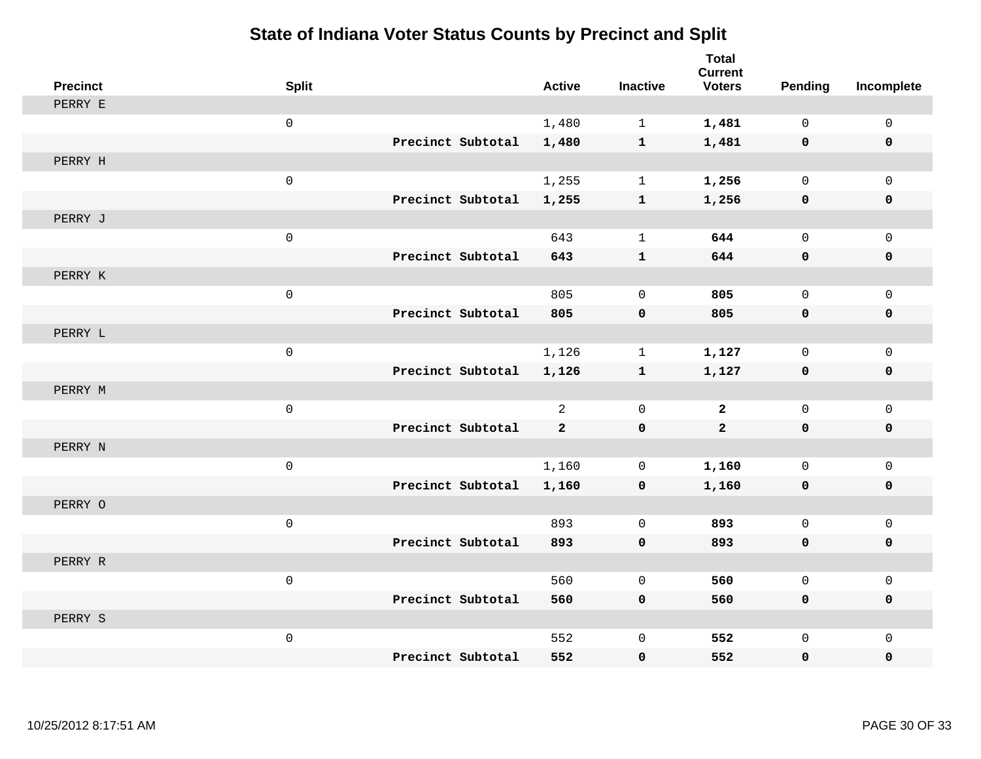| <b>Precinct</b> | <b>Split</b> |                   | <b>Active</b>  | <b>Inactive</b> | <b>Total</b><br><b>Current</b><br><b>Voters</b> | <b>Pending</b> | Incomplete   |
|-----------------|--------------|-------------------|----------------|-----------------|-------------------------------------------------|----------------|--------------|
| PERRY E         |              |                   |                |                 |                                                 |                |              |
|                 | $\mathsf 0$  |                   | 1,480          | $\mathbf{1}$    | 1,481                                           | $\mathbf 0$    | $\mathsf{O}$ |
|                 |              | Precinct Subtotal | 1,480          | $\mathbf{1}$    | 1,481                                           | $\mathbf 0$    | $\mathbf 0$  |
| PERRY H         |              |                   |                |                 |                                                 |                |              |
|                 | $\mathsf 0$  |                   | 1,255          | $\mathbf{1}$    | 1,256                                           | $\mathbf 0$    | $\mathsf{O}$ |
|                 |              | Precinct Subtotal | 1,255          | $\mathbf{1}$    | 1,256                                           | $\mathbf 0$    | 0            |
| PERRY J         |              |                   |                |                 |                                                 |                |              |
|                 | $\mathsf 0$  |                   | 643            | $\mathbf{1}$    | 644                                             | $\mathbf{0}$   | $\mathbf 0$  |
|                 |              | Precinct Subtotal | 643            | $\mathbf{1}$    | 644                                             | 0              | 0            |
| PERRY K         |              |                   |                |                 |                                                 |                |              |
|                 | $\mathsf 0$  |                   | 805            | $\mathbf 0$     | 805                                             | $\mathbf 0$    | $\mathsf{O}$ |
|                 |              | Precinct Subtotal | 805            | $\mathbf 0$     | 805                                             | $\mathbf 0$    | 0            |
| PERRY L         |              |                   |                |                 |                                                 |                |              |
|                 | $\mathsf 0$  |                   | 1,126          | $\mathbf{1}$    | 1,127                                           | $\mathbf{0}$   | $\mathsf{O}$ |
|                 |              | Precinct Subtotal | 1,126          | $\mathbf{1}$    | 1,127                                           | 0              | 0            |
| PERRY M         |              |                   |                |                 |                                                 |                |              |
|                 | $\mathbf 0$  |                   | $\overline{2}$ | $\mathbf 0$     | $\mathbf{2}$                                    | $\mathbf 0$    | $\mathsf{O}$ |
|                 |              | Precinct Subtotal | $\overline{a}$ | $\mathbf 0$     | $\overline{a}$                                  | $\mathbf 0$    | 0            |
| PERRY N         |              |                   |                |                 |                                                 |                |              |
|                 | $\mathsf 0$  |                   | 1,160          | 0               | 1,160                                           | $\mathbf 0$    | $\mathsf{O}$ |
|                 |              | Precinct Subtotal | 1,160          | $\mathbf 0$     | 1,160                                           | 0              | 0            |
| PERRY O         |              |                   |                |                 |                                                 |                |              |
|                 | $\mathsf 0$  |                   | 893            | $\mathbf 0$     | 893                                             | $\mathbf{0}$   | $\mathsf{O}$ |
|                 |              | Precinct Subtotal | 893            | $\mathbf 0$     | 893                                             | 0              | 0            |
| PERRY R         |              |                   |                |                 |                                                 |                |              |
|                 | $\mathsf 0$  |                   | 560            | $\mathbf 0$     | 560                                             | $\mathbf{0}$   | $\mathbf 0$  |
|                 |              | Precinct Subtotal | 560            | $\mathbf 0$     | 560                                             | 0              | 0            |
| PERRY S         |              |                   |                |                 |                                                 |                |              |
|                 | $\mathsf 0$  |                   | 552            | $\mathsf 0$     | 552                                             | $\mathbf 0$    | $\mathsf{O}$ |
|                 |              | Precinct Subtotal | 552            | 0               | 552                                             | 0              | $\mathbf 0$  |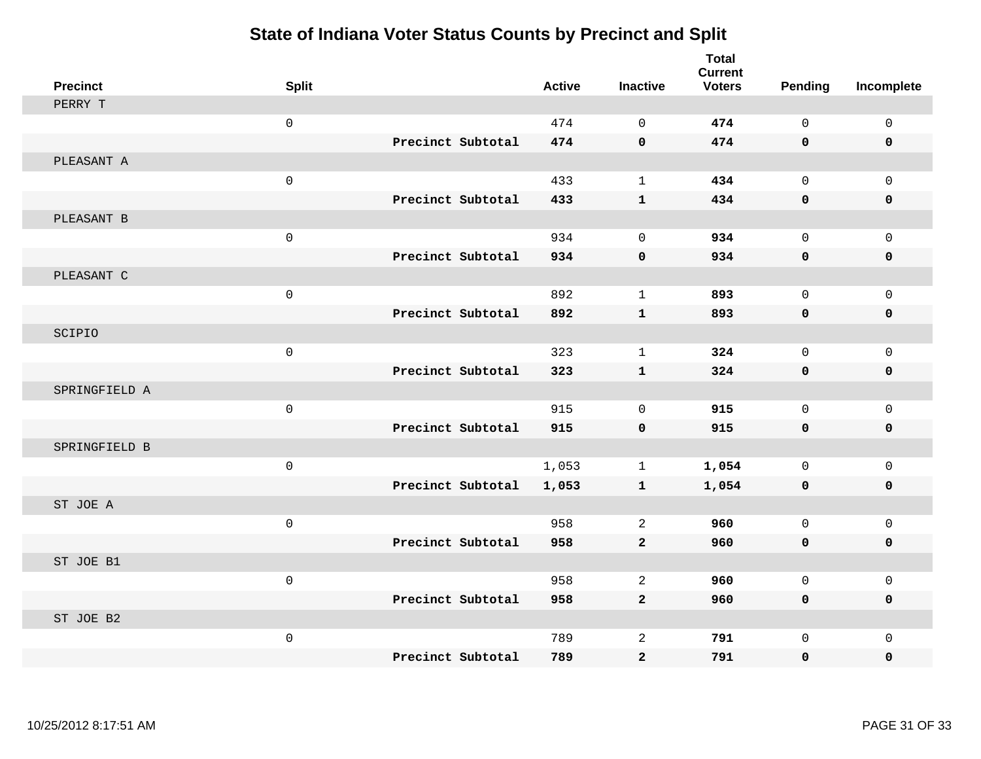| <b>Precinct</b> | <b>Split</b>   |                   | <b>Active</b> | <b>Inactive</b> | <b>Total</b><br><b>Current</b><br><b>Voters</b> | Pending     | Incomplete  |
|-----------------|----------------|-------------------|---------------|-----------------|-------------------------------------------------|-------------|-------------|
| PERRY T         |                |                   |               |                 |                                                 |             |             |
|                 | $\mathbf 0$    |                   | 474           | $\Omega$        | 474                                             | $\Omega$    | $\mathsf 0$ |
|                 |                | Precinct Subtotal | 474           | $\mathbf 0$     | 474                                             | $\mathbf 0$ | $\mathbf 0$ |
| PLEASANT A      |                |                   |               |                 |                                                 |             |             |
|                 | $\mathsf 0$    |                   | 433           | $\mathbf{1}$    | 434                                             | $\mathbf 0$ | $\mathbf 0$ |
|                 |                | Precinct Subtotal | 433           | $\mathbf{1}$    | 434                                             | $\mathbf 0$ | 0           |
| PLEASANT B      |                |                   |               |                 |                                                 |             |             |
|                 | $\mathsf 0$    |                   | 934           | $\Omega$        | 934                                             | $\Omega$    | $\mathbf 0$ |
|                 |                | Precinct Subtotal | 934           | $\mathbf 0$     | 934                                             | $\mathbf 0$ | $\mathbf 0$ |
| PLEASANT C      |                |                   |               |                 |                                                 |             |             |
|                 | $\mathsf 0$    |                   | 892           | $\mathbf{1}$    | 893                                             | $\mathbf 0$ | $\mathbf 0$ |
|                 |                | Precinct Subtotal | 892           | $\mathbf{1}$    | 893                                             | $\mathbf 0$ | 0           |
| SCIPIO          |                |                   |               |                 |                                                 |             |             |
|                 | $\mathsf 0$    |                   | 323           | $\mathbf{1}$    | 324                                             | $\mathbf 0$ | $\mathbf 0$ |
|                 |                | Precinct Subtotal | 323           | $\mathbf{1}$    | 324                                             | $\mathbf 0$ | $\mathbf 0$ |
| SPRINGFIELD A   |                |                   |               |                 |                                                 |             |             |
|                 | $\mathsf 0$    |                   | 915           | $\mathbf 0$     | 915                                             | $\mathbf 0$ | $\mathbf 0$ |
|                 |                | Precinct Subtotal | 915           | $\mathbf 0$     | 915                                             | $\mathbf 0$ | 0           |
| SPRINGFIELD B   |                |                   |               |                 |                                                 |             |             |
|                 | $\mathsf 0$    |                   | 1,053         | $\mathbf 1$     | 1,054                                           | $\mathbf 0$ | $\mathsf 0$ |
|                 |                | Precinct Subtotal | 1,053         | $\mathbf{1}$    | 1,054                                           | $\mathbf 0$ | 0           |
| ST JOE A        |                |                   |               |                 |                                                 |             |             |
|                 | $\mathsf 0$    |                   | 958           | $\mathbf{2}$    | 960                                             | $\mathbf 0$ | $\mathbf 0$ |
|                 |                | Precinct Subtotal | 958           | $\mathbf{2}$    | 960                                             | $\mathbf 0$ | 0           |
| ST JOE B1       |                |                   |               |                 |                                                 |             |             |
|                 | $\overline{0}$ |                   | 958           | $\mathbf{2}$    | 960                                             | $\Omega$    | $\mathbf 0$ |
|                 |                | Precinct Subtotal | 958           | $\overline{a}$  | 960                                             | $\mathbf 0$ | 0           |
| ST JOE B2       |                |                   |               |                 |                                                 |             |             |
|                 | $\mathsf 0$    |                   | 789           | $\overline{c}$  | 791                                             | $\mathbf 0$ | $\mathbf 0$ |
|                 |                | Precinct Subtotal | 789           | $\overline{a}$  | 791                                             | $\mathbf 0$ | 0           |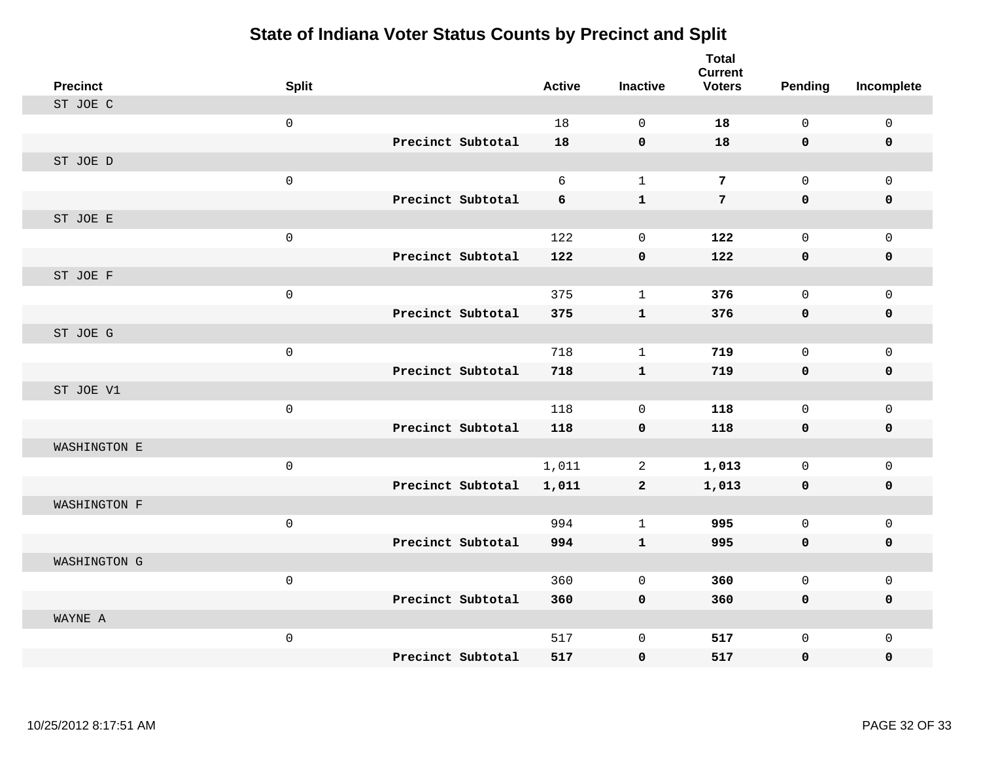| <b>Precinct</b> | <b>Split</b>        |                   | <b>Active</b> | <b>Inactive</b> | <b>Total</b><br><b>Current</b><br><b>Voters</b> | <b>Pending</b> | Incomplete   |
|-----------------|---------------------|-------------------|---------------|-----------------|-------------------------------------------------|----------------|--------------|
| ST JOE C        |                     |                   |               |                 |                                                 |                |              |
|                 | $\mathsf{O}\xspace$ |                   | 18            | $\mathbf 0$     | 18                                              | $\mathbf 0$    | $\mathsf{O}$ |
|                 |                     | Precinct Subtotal | 18            | $\mathbf 0$     | 18                                              | 0              | 0            |
| ST JOE D        |                     |                   |               |                 |                                                 |                |              |
|                 | $\mathsf 0$         |                   | 6             | $\mathbf{1}$    | $\overline{7}$                                  | $\mathbf 0$    | $\mathsf{O}$ |
|                 |                     | Precinct Subtotal | 6             | $\mathbf{1}$    | $7\phantom{.}$                                  | 0              | 0            |
| ST JOE E        |                     |                   |               |                 |                                                 |                |              |
|                 | $\mathsf 0$         |                   | 122           | $\mathbf 0$     | 122                                             | $\mathbf 0$    | $\mathsf{O}$ |
|                 |                     | Precinct Subtotal | 122           | $\mathbf 0$     | 122                                             | 0              | 0            |
| ST JOE F        |                     |                   |               |                 |                                                 |                |              |
|                 | $\mathsf 0$         |                   | 375           | $\mathbf{1}$    | 376                                             | $\mathbf 0$    | $\mathbf 0$  |
|                 |                     | Precinct Subtotal | 375           | $\mathbf{1}$    | 376                                             | 0              | 0            |
| ST JOE G        |                     |                   |               |                 |                                                 |                |              |
|                 | $\mathbf 0$         |                   | 718           | $\mathbf{1}$    | 719                                             | $\Omega$       | $\mathbf 0$  |
|                 |                     | Precinct Subtotal | 718           | $\mathbf{1}$    | 719                                             | 0              | $\mathbf 0$  |
| ST JOE V1       |                     |                   |               |                 |                                                 |                |              |
|                 | $\mathsf{O}\xspace$ |                   | 118           | $\mathbf 0$     | 118                                             | $\mathbf 0$    | $\mathbf{0}$ |
|                 |                     | Precinct Subtotal | 118           | $\mathbf 0$     | 118                                             | 0              | 0            |
| WASHINGTON E    |                     |                   |               |                 |                                                 |                |              |
|                 | $\mathbf 0$         |                   | 1,011         | 2               | 1,013                                           | $\mathbf 0$    | $\mathbf 0$  |
|                 |                     | Precinct Subtotal | 1,011         | $\overline{a}$  | 1,013                                           | $\mathbf 0$    | 0            |
| WASHINGTON F    |                     |                   |               |                 |                                                 |                |              |
|                 | $\mathsf{O}\xspace$ |                   | 994           | $\mathbf 1$     | 995                                             | $\mathbf 0$    | $\mathsf{O}$ |
|                 |                     | Precinct Subtotal | 994           | $\mathbf{1}$    | 995                                             | 0              | 0            |
| WASHINGTON G    |                     |                   |               |                 |                                                 |                |              |
|                 | $\mathsf 0$         |                   | 360           | $\mathbf 0$     | 360                                             | $\mathbf{0}$   | $\mathbf 0$  |
|                 |                     | Precinct Subtotal | 360           | $\mathbf 0$     | 360                                             | 0              | 0            |
| WAYNE A         |                     |                   |               |                 |                                                 |                |              |
|                 | $\mathsf 0$         |                   | 517           | $\mathbf 0$     | 517                                             | 0              | $\mathbf 0$  |
|                 |                     | Precinct Subtotal | 517           | $\mathbf 0$     | 517                                             | 0              | $\mathbf 0$  |